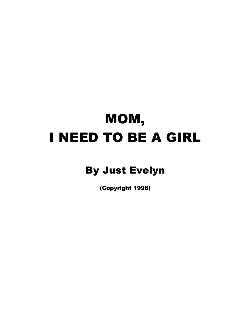# MOM, I NEED TO BE A GIRL

# By Just Evelyn

(Copyright 1998)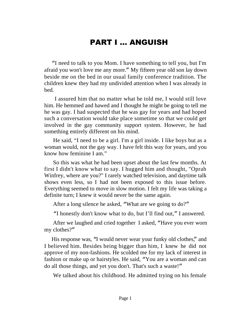## PART I … ANGUISH

"I need to talk to you Mom. I have something to tell you, but I'm afraid you won't love me any more." My fifteen year old son lay down beside me on the bed in our usual family conference tradition. The children knew they had my undivided attention when I was already in bed.

 I assured him that no matter what he told me, I would still love him. He hemmed and hawed and I thought he might be going to tell me he was gay. I had suspected that he was gay for years and had hoped such a conversation would take place sometime so that we could get involved in the gay community support system. However, he had something entirely different on his mind.

 He said, "I need to be a girl. I'm a girl inside. I like boys but as a woman would, not the gay way. I have felt this way for years, and you know how feminine I am."

 So this was what he had been upset about the last few months. At first I didn't know what to say. I hugged him and thought, "Oprah Winfrey, where are you?" I rarely watched television, and daytime talk shows even less, so I had not been exposed to this issue before. Everything seemed to move in slow motion. I felt my life was taking a definite turn; I knew it would never be the same again.

After a long silence he asked, "What are we going to do?"

"I honestly don't know what to do, but I'll find out," I answered.

 After we laughed and cried together I asked, "Have you ever worn my clothes?"

His response was, "I would never wear your funky old clothes," and I believed him. Besides being bigger than him, I knew he did not approve of my non-fashions. He scolded me for my lack of interest in fashion or make up or hairstyles. He said, "You are a woman and can do all those things, and yet you don't. That's such a waste!"

We talked about his childhood. He admitted trying on his female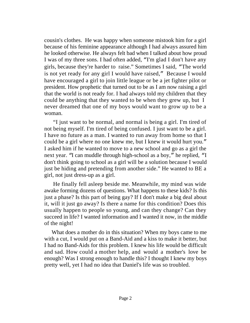cousin's clothes. He was happy when someone mistook him for a girl because of his feminine appearance although I had always assured him he looked otherwise. He always felt bad when I talked about how proud I was of my three sons. I had often added, "I'm glad I don't have any girls, because they're harder to raise." Sometimes I said, "The world is not yet ready for any girl I would have raised," Because I would have encouraged a girl to join little league or be a jet fighter pilot or president. How prophetic that turned out to be as I am now raising a girl that the world is not ready for. I had always told my children that they could be anything that they wanted to be when they grew up, but I never dreamed that one of my boys would want to grow up to be a woman.

 "I just want to be normal, and normal is being a girl. I'm tired of not being myself. I'm tired of being confused. I just want to be a girl. I have no future as a man. I wanted to run away from home so that I could be a girl where no one knew me, but I knew it would hurt you." I asked him if he wanted to move to a new school and go as a girl the next year. "I can muddle through high-school as a boy," he replied, "I don't think going to school as a girl will be a solution because I would just be hiding and pretending from another side." He wanted to BE a girl, not just dress-up as a girl.

 He finally fell asleep beside me. Meanwhile, my mind was wide awake forming dozens of questions. What happens to these kids? Is this just a phase? Is this part of being gay? If I don't make a big deal about it, will it just go away? Is there a name for this condition? Does this usually happen to people so young, and can they change? Can they succeed in life? I wanted information and I wanted it now, in the middle of the night!

What does a mother do in this situation? When my boys came to me with a cut, I would put on a Band-Aid and a kiss to make it better, but I had no Band-Aids for this problem. I knew his life would be difficult and sad. How could a mother help, and would a mother's love be enough? Was I strong enough to handle this? I thought I knew my boys pretty well, yet I had no idea that Daniel's life was so troubled.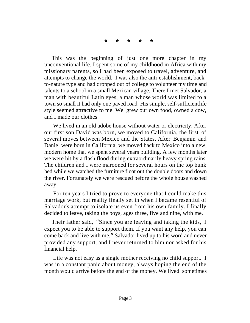#### \* \* \* \* \*

This was the beginning of just one more chapter in my unconventional life. I spent some of my childhood in Africa with my missionary parents, so I had been exposed to travel, adventure, and attempts to change the world. I was also the anti-establishment, backto-nature type and had dropped out of college to volunteer my time and talents to a school in a small Mexican village. There I met Salvador, a man with beautiful Latin eyes, a man whose world was limited to a town so small it had only one paved road. His simple, self-sufficient life style seemed attractive to me. We grew our own food, owned a cow, and I made our clothes.

 We lived in an old adobe house without water or electricity. After our first son David was born, we moved to California, the first of several moves between Mexico and the States. After Benjamin and Daniel were born in California, we moved back to Mexico into a new, modern home that we spent several years building. A few months later we were hit by a flash flood during extraordinarily heavy spring rains. The children and I were marooned for several hours on the top bunk bed while we watched the furniture float out the double doors and down the river. Fortunately we were rescued before the whole house washed away.

 For ten years I tried to prove to everyone that I could make this marriage work, but reality finally set in when I became resentful of Salvador's attempt to isolate us even from his own family. I finally decided to leave, taking the boys, ages three, five and nine, with me.

Their father said, "Since you are leaving and taking the kids, I expect you to be able to support them. If you want any help, you can come back and live with me." Salvador lived up to his word and never provided any support, and I never returned to him nor asked for his financial help.

 Life was not easy as a single mother receiving no child support. I was in a constant panic about money, always hoping the end of the month would arrive before the end of the money. We lived sometimes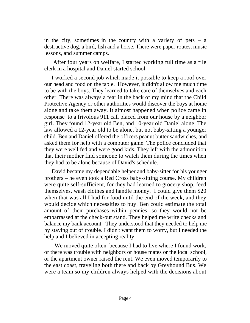in the city, sometimes in the country with a variety of pets  $-$  a destructive dog, a bird, fish and a horse. There were paper routes, music lessons, and summer camps.

 After four years on welfare, I started working full time as a file clerk in a hospital and Daniel started school.

I worked a second job which made it possible to keep a roof over our head and food on the table. However, it didn't allow me much time to be with the boys. They learned to take care of themselves and each other. There was always a fear in the back of my mind that the Child Protective Agency or other authorities would discover the boys at home alone and take them away. It almost happened when police came in response to a frivolous 911 call placed from our house by a neighbor girl. They found 12-year old Ben, and 10-year old Daniel alone. The law allowed a 12-year old to be alone, but not baby-sitting a younger child. Ben and Daniel offered the officers peanut butter sandwiches, and asked them for help with a computer game. The police concluded that they were well fed and were good kids. They left with the admonition that their mother find someone to watch them during the times when they had to be alone because of David's schedule.

David became my dependable helper and baby-sitter for his younger brothers – he even took a Red Cross baby-sitting course. My children were quite self-sufficient, for they had learned to grocery shop, feed themselves, wash clothes and handle money. I could give them \$20 when that was all I had for food until the end of the week, and they would decide which necessities to buy. Ben could estimate the total amount of their purchases within pennies, so they would not be embarrassed at the check-out stand. They helped me write checks and balance my bank account. They understood that they needed to help me by staying out of trouble. I didn't want them to worry, but I needed the help and I believed in accepting reality.

We moved quite often because I had to live where I found work, or there was trouble with neighbors or house mates or the local school, or the apartment owner raised the rent. We even moved temporarily to the east coast, traveling both there and back by Greyhound Bus. We were a team so my children always helped with the decisions about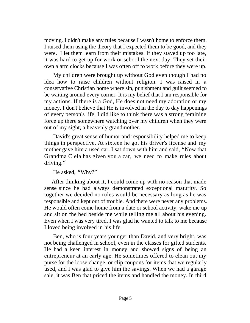moving. I didn't make any rules because I wasn't home to enforce them. I raised them using the theory that I expected them to be good, and they were. I let them learn from their mistakes. If they stayed up too late, it was hard to get up for work or school the next day. They set their own alarm clocks because I was often off to work before they were up.

 My children were brought up without God even though I had no idea how to raise children without religion. I was raised in a conservative Christian home where sin, punishment and guilt seemed to be waiting around every corner. It is my belief that I am responsible for my actions. If there is a God, He does not need my adoration or my money. I don't believe that He is involved in the day to day happenings of every person's life. I did like to think there was a strong feminine force up there somewhere watching over my children when they were out of my sight, a heavenly grandmother.

 David's great sense of humor and responsibility helped me to keep things in perspective. At sixteen he got his driver's license and my mother gave him a used car. I sat down with him and said, "Now that Grandma Clela has given you a car, we need to make rules about driving."

He asked, "Why?"

After thinking about it, I could come up with no reason that made sense since he had always demonstrated exceptional maturity. So together we decided no rules would be necessary as long as he was responsible and kept out of trouble. And there were never any problems. He would often come home from a date or school activity, wake me up and sit on the bed beside me while telling me all about his evening. Even when I was very tired, I was glad he wanted to talk to me because I loved being involved in his life.

 Ben, who is four years younger than David, and very bright, was not being challenged in school, even in the classes for gifted students. He had a keen interest in money and showed signs of being an entrepreneur at an early age. He sometimes offered to clean out my purse for the loose change, or clip coupons for items that we regularly used, and I was glad to give him the savings. When we had a garage sale, it was Ben that priced the items and handled the money. In third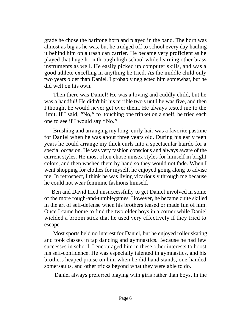grade he chose the baritone horn and played in the band. The horn was almost as big as he was, but he trudged off to school every day hauling it behind him on a trash can carrier. He became very proficient as he played that huge horn through high school while learning other brass instruments as well. He easily picked up computer skills, and was a good athlete excelling in anything he tried. As the middle child only two years older than Daniel, I probably neglected him somewhat, but he did well on his own.

 Then there was Daniel! He was a loving and cuddly child, but he was a handful! He didn't hit his terrible two's until he was five, and then I thought he would never get over them. He always tested me to the limit. If I said, "No," to touching one trinket on a shelf, he tried each one to see if I would say "No."

 Brushing and arranging my long, curly hair was a favorite pastime for Daniel when he was about three years old. During his early teen years he could arrange my thick curls into a spectacular hairdo for a special occasion. He was very fashion conscious and always aware of the current styles. He most often chose unisex styles for himself in bright colors, and then washed them by hand so they would not fade. When I went shopping for clothes for myself, he enjoyed going along to advise me. In retrospect, I think he was living vicariously through me because he could not wear feminine fashions himself.

Ben and David tried unsuccessfully to get Daniel involved in some of the more rough-and-tumble games. However, he became quite skilled in the art of self-defense when his brothers teased or made fun of him. Once I came home to find the two older boys in a corner while Daniel wielded a broom stick that he used very effectively if they tried to escape.

 Most sports held no interest for Daniel, but he enjoyed roller skating and took classes in tap dancing and gymnastics. Because he had few successes in school, I encouraged him in these other interests to boost his self-confidence. He was especially talented in gymnastics, and his brothers heaped praise on him when he did hand stands, one-handed somersaults, and other tricks beyond what they were able to do.

Daniel always preferred playing with girls rather than boys. In the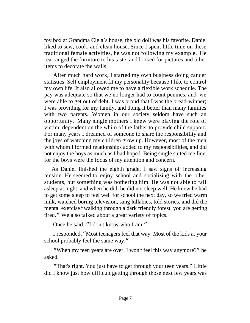toy box at Grandma Clela's house, the old doll was his favorite. Daniel liked to sew, cook, and clean house. Since I spent little time on these traditional female activities, he was not following my example. He rearranged the furniture to his taste, and looked for pictures and other items to decorate the walls.

 After much hard work, I started my own business doing cancer statistics. Self employment fit my personality because I like to control my own life. It also allowed me to have a flexible work schedule. The pay was adequate so that we no longer had to count pennies, and we were able to get out of debt. I was proud that I was the bread-winner; I was providing for my family, and doing it better than many families with two parents. Women in our society seldom have such an opportunity. Many single mothers I knew were playing the role of victim, dependent on the whim of the father to provide child support. For many years I dreamed of someone to share the responsibility and the joys of watching my children grow up. However, most of the men with whom I formed relationships added to my responsibilities, and did not enjoy the boys as much as I had hoped. Being single suited me fine, for the boys were the focus of my attention and concern.

As Daniel finished the eighth grade, I saw signs of increasing tension. He seemed to enjoy school and socializing with the other students, but something was bothering him. He was not able to fall asleep at night, and when he did, he did not sleep well. He knew he had to get some sleep to feel well for school the next day, so we tried warm milk, watched boring television, sang lullabies, told stories, and did the mental exercise "walking through a dark friendly forest, you are getting tired." We also talked about a great variety of topics.

Once he said, "I don't know who I am."

 I responded, "Most teenagers feel that way. Most of the kids at your school probably feel the same way."

"When my teen years are over, I won't feel this way anymore?" he asked.

"That's right. You just have to get through your teen years." Little did I know just how difficult getting through those next few years was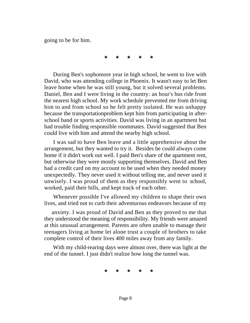going to be for him.

#### \* \* \* \* \*

 During Ben's sophomore year in high school, he went to live with David, who was attending college in Phoenix. It wasn't easy to let Ben leave home when he was still young, but it solved several problems. Daniel, Ben and I were living in the country: an hour's bus ride from the nearest high school. My work schedule prevented me from driving him to and from school so he felt pretty isolated. He was unhappy because the transportation problem kept him from participating in afterschool band or sports activities. David was living in an apartment but had trouble finding responsible roommates. David suggested that Ben could live with him and attend the nearby high school.

 I was sad to have Ben leave and a little apprehensive about the arrangement, but they wanted to try it. Besides he could always come home if it didn't work out well. I paid Ben's share of the apartment rent, but otherwise they were mostly supporting themselves. David and Ben had a credit card on my account to be used when they needed money unexpectedly. They never used it without telling me, and never used it unwisely. I was proud of them as they responsibly went to school, worked, paid their bills, and kept track of each other.

 Whenever possible I've allowed my children to shape their own lives, and tried not to curb their adventurous endeavors because of my

anxiety. I was proud of David and Ben as they proved to me that they understood the meaning of responsibility. My friends were amazed at this unusual arrangement. Parents are often unable to manage their teenagers living at home let alone trust a couple of brothers to take complete control of their lives 400 miles away from any family.

 With my child-rearing days were almost over, there was light at the end of the tunnel. I just didn't realize how long the tunnel was.

\* \* \* \* \*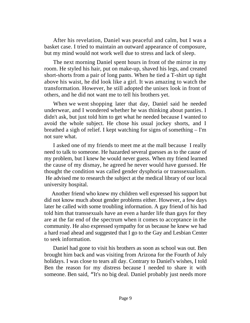After his revelation, Daniel was peaceful and calm, but I was a basket case. I tried to maintain an outward appearance of composure, but my mind would not work well due to stress and lack of sleep.

 The next morning Daniel spent hours in front of the mirror in my room. He styled his hair, put on make-up, shaved his legs, and created short-shorts from a pair of long pants. When he tied a T-shirt up tight above his waist, he did look like a girl. It was amazing to watch the transformation. However, he still adopted the unisex look in front of others, and he did not want me to tell his brothers yet.

 When we went shopping later that day, Daniel said he needed underwear, and I wondered whether he was thinking about panties. I didn't ask, but just told him to get what he needed because I wanted to avoid the whole subject. He chose his usual jockey shorts, and I breathed a sigh of relief. I kept watching for signs of something – I'm not sure what.

 I asked one of my friends to meet me at the mall because I really need to talk to someone. He hazarded several guesses as to the cause of my problem, but I knew he would never guess. When my friend learned the cause of my dismay, he agreed he never would have guessed. He thought the condition was called gender dysphoria or transsexualism. He advised me to research the subject at the medical library of our local university hospital.

Another friend who knew my children well expressed his support but did not know much about gender problems either. However, a few days later he called with some troubling information. A gay friend of his had told him that transsexuals have an even a harder life than gays for they are at the far end of the spectrum when it comes to acceptance in the community. He also expressed sympathy for us because he knew we had a hard road ahead and suggested that I go to the Gay and Lesbian Center to seek information.

 Daniel had gone to visit his brothers as soon as school was out. Ben brought him back and was visiting from Arizona for the Fourth of July holidays. I was close to tears all day. Contrary to Daniel's wishes, I told Ben the reason for my distress because I needed to share it with someone. Ben said, "It's no big deal. Daniel probably just needs more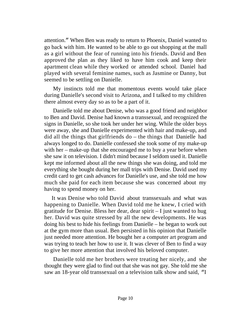attention." When Ben was ready to return to Phoenix, Daniel wanted to go back with him. He wanted to be able to go out shopping at the mall as a girl without the fear of running into his friends. David and Ben approved the plan as they liked to have him cook and keep their apartment clean while they worked or attended school. Daniel had played with several feminine names, such as Jasmine or Danny, but seemed to be settling on Danielle.

 My instincts told me that momentous events would take place during Danielle's second visit to Arizona, and I talked to my children there almost every day so as to be a part of it.

 Danielle told me about Denise, who was a good friend and neighbor to Ben and David. Denise had known a transsexual, and recognized the signs in Danielle, so she took her under her wing. While the older boys were away, she and Danielle experimented with hair and make-up, and did all the things that girlfriends do – the things that Danielle had always longed to do. Danielle confessed she took some of my make-up with her – make-up that she encouraged me to buy a year before when she saw it on television. I didn't mind because I seldom used it. Danielle kept me informed about all the new things she was doing, and told me everything she bought during her mall trips with Denise. David used my credit card to get cash advances for Danielle's use, and she told me how much she paid for each item because she was concerned about my having to spend money on her.

It was Denise who told David about transsexuals and what was happening to Danielle. When David told me he knew, I cried with gratitude for Denise. Bless her dear, dear spirit – I just wanted to hug her. David was quite stressed by all the new developments. He was doing his best to hide his feelings from Danielle – he began to work out at the gym more than usual. Ben persisted in his opinion that Danielle just needed more attention. He bought her a computer art program and was trying to teach her how to use it. It was clever of Ben to find a way to give her more attention that involved his beloved computer.

 Danielle told me her brothers were treating her nicely, and she thought they were glad to find out that she was not gay. She told me she saw an 18-year old transsexual on a television talk show and said, "I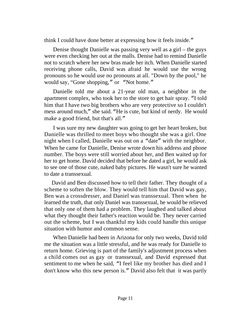think I could have done better at expressing how it feels inside."

 Denise thought Danielle was passing very well as a girl – the guys were even checking her out at the malls. Denise had to remind Danielle not to scratch where her new bras made her itch. When Danielle started receiving phone calls, David was afraid he would use the wrong pronouns so he would use no pronouns at all. "Down by the pool," he would say, "Gone shopping," or "Not home."

 Danielle told me about a 21-year old man, a neighbor in the apartment complex, who took her to the store to get hair spray. "I told him that I have two big brothers who are very protective so I couldn't mess around much," she said. "He is cute, but kind of nerdy. He would make a good friend, but that's all."

 I was sure my new daughter was going to get her heart broken, but Danielle was thrilled to meet boys who thought she was a girl. One night when I called, Danielle was out on a "date" with the neighbor. When he came for Danielle, Denise wrote down his address and phone number. The boys were still worried about her, and Ben waited up for her to get home. David decided that before he dated a girl, he would ask to see one of those cute, naked baby pictures. He wasn't sure he wanted to date a transsexual.

David and Ben discussed how to tell their father. They thought of a scheme to soften the blow. They would tell him that David was gay, Ben was a crossdresser, and Daniel was transsexual. Then when he learned the truth, that only Daniel was transsexual, he would be relieved that only one of them had a problem. They laughed and talked about what they thought their father's reaction would be. They never carried out the scheme, but I was thankful my kids could handle this unique situation with humor and common sense.

 When Danielle had been in Arizona for only two weeks, David told me the situation was a little stressful, and he was ready for Danielle to return home. Grieving is part of the family's adjustment process when a child comes out as gay or transsexual, and David expressed that sentiment to me when he said, "I feel like my brother has died and I don't know who this new person is." David also felt that it was partly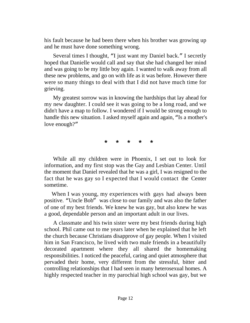his fault because he had been there when his brother was growing up and he must have done something wrong.

 Several times I thought, "I just want my Daniel back." I secretly hoped that Danielle would call and say that she had changed her mind and was going to be my little boy again. I wanted to walk away from all these new problems, and go on with life as it was before. However there were so many things to deal with that I did not have much time for grieving.

 My greatest sorrow was in knowing the hardships that lay ahead for my new daughter. I could see it was going to be a long road, and we didn't have a map to follow. I wondered if I would be strong enough to handle this new situation. I asked myself again and again, "Is a mother's love enough?"

\* \* \* \* \*

 While all my children were in Phoenix, I set out to look for information, and my first stop was the Gay and Lesbian Center. Until the moment that Daniel revealed that he was a girl, I was resigned to the fact that he was gay so I expected that I would contact the Center sometime.

When I was young, my experiences with gays had always been positive. "Uncle Bob" was close to our family and was also the father of one of my best friends. We knew he was gay, but also knew he was a good, dependable person and an important adult in our lives.

 A classmate and his twin sister were my best friends during high school. Phil came out to me years later when he explained that he left the church because Christians disapprove of gay people. When I visited him in San Francisco, he lived with two male friends in a beautifully decorated apartment where they all shared the homemaking responsibilities. I noticed the peaceful, caring and quiet atmosphere that pervaded their home, very different from the stressful, bitter and controlling relationships that I had seen in many heterosexual homes. A highly respected teacher in my parochial high school was gay, but we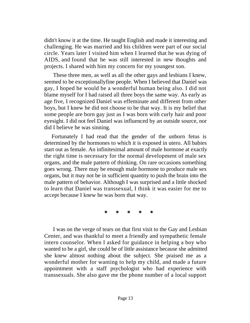didn't know it at the time. He taught English and made it interesting and challenging. He was married and his children were part of our social circle. Years later I visited him when I learned that he was dying of AIDS, and found that he was still interested in new thoughts and projects. I shared with him my concern for my youngest son.

 These three men, as well as all the other gays and lesbians I knew, seemed to be exceptionally fine people. When I believed that Daniel was gay, I hoped he would be a wonderful human being also. I did not blame myself for I had raised all three boys the same way. As early as age five, I recognized Daniel was effeminate and different from other boys, but I knew he did not choose to be that way. It is my belief that some people are born gay just as I was born with curly hair and poor eyesight. I did not feel Daniel was influenced by an outside source, nor did I believe he was sinning.

Fortunately I had read that the gender of the unborn fetus is determined by the hormones to which it is exposed in utero. All babies start out as female. An infinitesimal amount of male hormone at exactly the right time is necessary for the normal development of male sex organs, and the male pattern of thinking. On rare occasions something goes wrong. There may be enough male hormone to produce male sex organs, but it may not be in sufficient quantity to push the brain into the male pattern of behavior. Although I was surprised and a little shocked to learn that Daniel was transsexual, I think it was easier for me to accept because I knew he was born that way.

\* \* \* \* \*

 I was on the verge of tears on that first visit to the Gay and Lesbian Center, and was thankful to meet a friendly and sympathetic female intern counselor. When I asked for guidance in helping a boy who wanted to be a girl, she could be of little assistance because she admitted she knew almost nothing about the subject. She praised me as a wonderful mother for wanting to help my child, and made a future appointment with a staff psychologist who had experience with transsexuals. She also gave me the phone number of a local support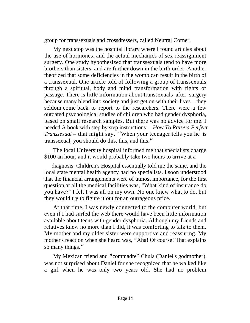group for transsexuals and crossdressers, called Neutral Corner.

 My next stop was the hospital library where I found articles about the use of hormones, and the actual mechanics of sex reassignment surgery. One study hypothesized that transsexuals tend to have more brothers than sisters, and are further down in the birth order. Another theorized that some deficiencies in the womb can result in the birth of a transsexual. One article told of following a group of transsexuals through a spiritual, body and mind transformation with rights of passage. There is little information about transsexuals after surgery because many blend into society and just get on with their lives – they seldom come back to report to the researchers. There were a few outdated psychological studies of children who had gender dysphoria, based on small research samples. But there was no advice for me. I needed A book with step by step instructions – *How To Raise a Perfect Transsexual* – that might say, "When your teenager tells you he is transsexual, you should do this, this, and this."

 The local University hospital informed me that specialists charge \$100 an hour, and it would probably take two hours to arrive at a

diagnosis. Children's Hospital essentially told me the same, and the local state mental health agency had no specialists. I soon understood that the financial arrangements were of utmost importance, for the first question at all the medical facilities was, "What kind of insurance do you have?" I felt I was all on my own. No one knew what to do, but they would try to figure it out for an outrageous price.

 At that time, I was newly connected to the computer world, but even if I had surfed the web there would have been little information available about teens with gender dysphoria. Although my friends and relatives knew no more than I did, it was comforting to talk to them. My mother and my older sister were supportive and reassuring. My mother's reaction when she heard was, "Aha! Of course! That explains so many things."

 My Mexican friend and "commadre" Chula (Daniel's godmother), was not surprised about Daniel for she recognized that he walked like a girl when he was only two years old. She had no problem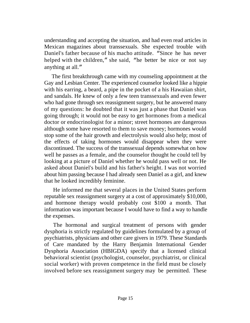understanding and accepting the situation, and had even read articles in Mexican magazines about transsexuals. She expected trouble with Daniel's father because of his macho attitude. "Since he has never helped with the children," she said, "he better be nice or not say anything at all."

The first breakthrough came with my counseling appointment at the Gay and Lesbian Center. The experienced counselor looked like a hippie with his earring, a beard, a pipe in the pocket of a his Hawaiian shirt, and sandals. He knew of only a few teen transsexuals and even fewer who had gone through sex reassignment surgery, but he answered many of my questions: he doubted that it was just a phase that Daniel was going through; it would not be easy to get hormones from a medical doctor or endocrinologist for a minor; street hormones are dangerous although some have resorted to them to save money; hormones would stop some of the hair growth and electrolysis would also help; most of the effects of taking hormones would disappear when they were discontinued. The success of the transsexual depends somewhat on how well he passes as a female, and the counselor thought he could tell by looking at a picture of Daniel whether he would pass well or not. He asked about Daniel's build and his father's height. I was not worried about him passing because I had already seen Daniel as a girl, and knew that he looked incredibly feminine.

 He informed me that several places in the United States perform reputable sex reassignment surgery at a cost of approximately \$10,000, and hormone therapy would probably cost \$100 a month. That information was important because I would have to find a way to handle the expenses.

 The hormonal and surgical treatment of persons with gender dysphoria is strictly regulated by guidelines formulated by a group of psychiatrists, physicians and other care givers in 1979. These Standards of Care mandated by the Harry Benjamin International Gender Dysphoria Association (HBIGDA) specify that a licensed clinical behavioral scientist (psychologist, counselor, psychiatrist, or clinical social worker) with proven competence in the field must be closely involved before sex reassignment surgery may be permitted. These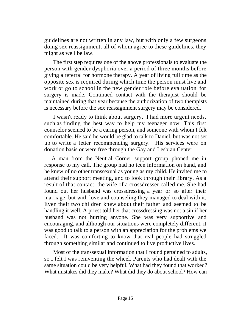guidelines are not written in any law, but with only a few surgeons doing sex reassignment, all of whom agree to these guidelines, they might as well be law.

 The first step requires one of the above professionals to evaluate the person with gender dysphoria over a period of three months before giving a referral for hormone therapy. A year of living full time as the opposite sex is required during which time the person must live and work or go to school in the new gender role before evaluation for surgery is made. Continued contact with the therapist should be maintained during that year because the authorization of two therapists is necessary before the sex reassignment surgery may be considered.

 I wasn't ready to think about surgery. I had more urgent needs, such as finding the best way to help my teenager now. This first counselor seemed to be a caring person, and someone with whom I felt comfortable. He said he would be glad to talk to Daniel, but was not set up to write a letter recommending surgery. His services were on donation basis or were free through the Gay and Lesbian Center.

A man from the Neutral Corner support group phoned me in response to my call. The group had no teen information on hand, and he knew of no other transsexual as young as my child. He invited me to attend their support meeting, and to look through their library. As a result of that contact, the wife of a crossdresser called me. She had found out her husband was crossdressing a year or so after their marriage, but with love and counseling they managed to deal with it. Even their two children knew about their father and seemed to be handling it well. A priest told her that crossdressing was not a sin if her husband was not hurting anyone. She was very supportive and encouraging, and although our situations were completely different, it was good to talk to a person with an appreciation for the problems we faced. It was comforting to know that real people had struggled through something similar and continued to live productive lives.

 Most of the transsexual information that I found pertained to adults, so I felt I was reinventing the wheel. Parents who had dealt with the same situation could be very helpful. What had they found that worked? What mistakes did they make? What did they do about school? How can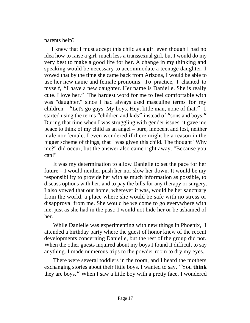parents help?

I knew that I must accept this child as a girl even though I had no idea how to raise a girl, much less a transsexual girl, but I would do my very best to make a good life for her. A change in my thinking and speaking would be necessary to accommodate a teenage daughter. I vowed that by the time she came back from Arizona, I would be able to use her new name and female pronouns. To practice, I chanted to myself, "I have a new daughter. Her name is Danielle. She is really cute. I love her." The hardest word for me to feel comfortable with was "daughter," since I had always used masculine terms for my children – "Let's go guys. My boys. Hey, little man, none of that." I started using the terms "children and kids" instead of "sons and boys." During that time when I was struggling with gender issues, it gave me peace to think of my child as an angel – pure, innocent and lost, neither male nor female. I even wondered if there might be a reason in the bigger scheme of things, that I was given this child. The thought "Why me?" did occur, but the answer also came right away. "Because you can!"

 It was my determination to allow Danielle to set the pace for her future – I would neither push her nor slow her down. It would be my responsibility to provide her with as much information as possible, to discuss options with her, and to pay the bills for any therapy or surgery. I also vowed that our home, wherever it was, would be her sanctuary from the world, a place where she would be safe with no stress or disapproval from me. She would be welcome to go everywhere with me, just as she had in the past: I would not hide her or be ashamed of her.

 While Danielle was experimenting with new things in Phoenix, I attended a birthday party where the guest of honor knew of the recent developments concerning Danielle, but the rest of the group did not. When the other guests inquired about my boys I found it difficult to say anything. I made numerous trips to the powder room to dry my eyes.

 There were several toddlers in the room, and I heard the mothers exchanging stories about their little boys. I wanted to say, "You **think** they are boys." When I saw a little boy with a pretty face, I wondered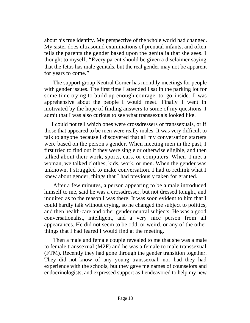about his true identity. My perspective of the whole world had changed. My sister does ultrasound examinations of prenatal infants, and often tells the parents the gender based upon the genitalia that she sees. I thought to myself, "Every parent should be given a disclaimer saying that the fetus has male genitals, but the real gender may not be apparent for years to come."

 The support group Neutral Corner has monthly meetings for people with gender issues. The first time I attended I sat in the parking lot for some time trying to build up enough courage to go inside. I was apprehensive about the people I would meet. Finally I went in motivated by the hope of finding answers to some of my questions. I admit that I was also curious to see what transsexuals looked like.

I could not tell which ones were crossdressers or transsexuals, or if those that appeared to be men were really males. It was very difficult to talk to anyone because I discovered that all my conversation starters were based on the person's gender. When meeting men in the past, I first tried to find out if they were single or otherwise eligible, and then talked about their work, sports, cars, or computers. When I met a woman, we talked clothes, kids, work, or men. When the gender was unknown, I struggled to make conversation. I had to rethink what I knew about gender, things that I had previously taken for granted.

 After a few minutes, a person appearing to be a male introduced himself to me, said he was a crossdresser, but not dressed tonight, and inquired as to the reason I was there. It was soon evident to him that I could hardly talk without crying, so he changed the subject to politics, and then health-care and other gender neutral subjects. He was a good conversationalist, intelligent, and a very nice person from all appearances. He did not seem to be odd, or weird, or any of the other things that I had feared I would find at the meeting.

 Then a male and female couple revealed to me that she was a male to female transsexual (M2F) and he was a female to male transsexual (FTM). Recently they had gone through the gender transition together. They did not know of any young transsexual, nor had they had experience with the schools, but they gave me names of counselors and endocrinologists, and expressed support as I endeavored to help my new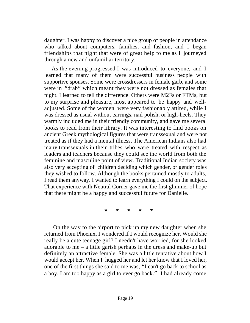daughter. I was happy to discover a nice group of people in attendance who talked about computers, families, and fashion, and I began friendships that night that were of great help to me as I journeyed through a new and unfamiliar territory.

As the evening progressed I was introduced to everyone, and I learned that many of them were successful business people with supportive spouses. Some were crossdressers in female garb, and some were in "drab" which meant they were not dressed as females that night. I learned to tell the difference. Others were M2Fs or FTMs, but to my surprise and pleasure, most appeared to be happy and welladjusted. Some of the women were very fashionably attired, while I was dressed as usual without earrings, nail polish, or high-heels. They warmly included me in their friendly community, and gave me several books to read from their library. It was interesting to find books on ancient Greek mythological figures that were transsexual and were not treated as if they had a mental illness. The American Indians also had many transsexuals in their tribes who were treated with respect as leaders and teachers because they could see the world from both the feminine and masculine point of view. Traditional Indian society was also very accepting of children deciding which gender, or gender roles they wished to follow. Although the books pertained mostly to adults, I read them anyway. I wanted to learn everything I could on the subject. That experience with Neutral Corner gave me the first glimmer of hope that there might be a happy and successful future for Danielle.

\* \* \* \* \*

 On the way to the airport to pick up my new daughter when she returned from Phoenix, I wondered if I would recognize her. Would she really be a cute teenage girl? I needn't have worried, for she looked adorable to me – a little garish perhaps in the dress and make-up but definitely an attractive female. She was a little tentative about how I would accept her. When I hugged her and let her know that I loved her, one of the first things she said to me was, "I can't go back to school as a boy. I am too happy as a girl to ever go back." I had already come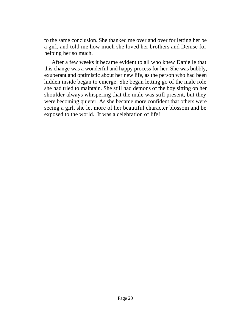to the same conclusion. She thanked me over and over for letting her be a girl, and told me how much she loved her brothers and Denise for helping her so much.

After a few weeks it became evident to all who knew Danielle that this change was a wonderful and happy process for her. She was bubbly, exuberant and optimistic about her new life, as the person who had been hidden inside began to emerge. She began letting go of the male role she had tried to maintain. She still had demons of the boy sitting on her shoulder always whispering that the male was still present, but they were becoming quieter. As she became more confident that others were seeing a girl, she let more of her beautiful character blossom and be exposed to the world. It was a celebration of life!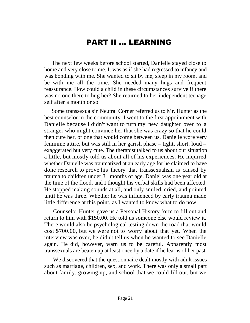## PART II … LEARNING

The next few weeks before school started, Danielle stayed close to home and very close to me. It was as if she had regressed to infancy and was bonding with me. She wanted to sit by me, sleep in my room, and be with me all the time. She needed many hugs and frequent reassurance. How could a child in these circumstances survive if there was no one there to hug her? She returned to her independent teenage self after a month or so.

Some transsexuals in Neutral Corner referred us to Mr. Hunter as the best counselor in the community. I went to the first appointment with Danielle because I didn't want to turn my new daughter over to a stranger who might convince her that she was crazy so that he could then cure her, or one that would come between us. Danielle wore very feminine attire, but was still in her garish phase – tight, short, loud – exaggerated but very cute. The therapist talked to us about our situation a little, but mostly told us about all of his experiences. He inquired whether Danielle was traumatized at an early age for he claimed to have done research to prove his theory that transsexualism is caused by trauma to children under 31 months of age. Daniel was one year old at the time of the flood, and I thought his verbal skills had been affected. He stopped making sounds at all, and only smiled, cried, and pointed until he was three. Whether he was influenced by early trauma made little difference at this point, as I wanted to know what to do now.

 Counselor Hunter gave us a Personal History form to fill out and return to him with \$150.00. He told us someone else would review it. There would also be psychological testing down the road that would cost \$700.00, but we were not to worry about that yet. When the interview was over, he didn't tell us when he wanted to see Danielle again. He did, however, warn us to be careful. Apparently most transsexuals are beaten up at least once by a date if he learns of her past.

 We discovered that the questionnaire dealt mostly with adult issues such as marriage, children, sex, and work. There was only a small part about family, growing up, and school that we could fill out, but we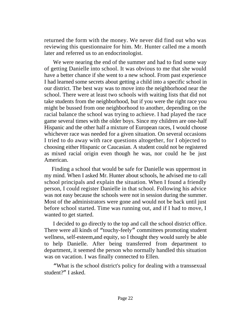returned the form with the money. We never did find out who was reviewing this questionnaire for him. Mr. Hunter called me a month later and referred us to an endocrinologist.

 We were nearing the end of the summer and had to find some way of getting Danielle into school. It was obvious to me that she would have a better chance if she went to a new school. From past experience I had learned some secrets about getting a child into a specific school in our district. The best way was to move into the neighborhood near the school. There were at least two schools with waiting lists that did not take students from the neighborhood, but if you were the right race you might be bussed from one neighborhood to another, depending on the racial balance the school was trying to achieve. I had played the race game several times with the older boys. Since my children are one-half Hispanic and the other half a mixture of European races, I would choose whichever race was needed for a given situation. On several occasions I tried to do away with race questions altogether, for I objected to choosing either Hispanic or Caucasian. A student could not be registered as mixed racial origin even though he was, nor could he be just American.

Finding a school that would be safe for Danielle was uppermost in my mind. When I asked Mr. Hunter about schools, he advised me to call school principals and explain the situation. When I found a friendly person, I could register Danielle in that school. Following his advice was not easy because the schools were not in session during the summer. Most of the administrators were gone and would not be back until just before school started. Time was running out, and if I had to move, I wanted to get started.

 I decided to go directly to the top and call the school district office. There were all kinds of "touchy-feely" committees promoting student wellness, self-esteem, and equity, so I thought they would surely be able to help Danielle. After being transferred from department to department, it seemed the person who normally handled this situation was on vacation. I was finally connected to Ellen.

"What is the school district's policy for dealing with a transsexual student?" I asked.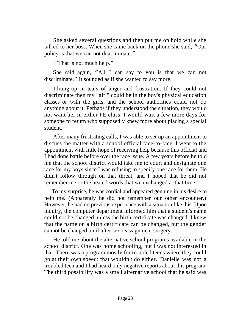She asked several questions and then put me on hold while she talked to her boss. When she came back on the phone she said, "Our policy is that we can not discriminate."

"That is not much help."

 She said again, "All I can say to you is that we can not discriminate." It sounded as if she wanted to say more.

 I hung up in tears of anger and frustration. If they could not discriminate then my "girl" could be in the boy's physical education classes or with the girls, and the school authorities could not do anything about it. Perhaps if they understood the situation, they would not want her in either PE class. I would wait a few more days for someone to return who supposedly knew more about placing a special student.

 After many frustrating calls, I was able to set up an appointment to discuss the matter with a school official face-to-face. I went to the appointment with little hope of receiving help because this official and I had done battle before over the race issue. A few years before he told me that the school district would take me to court and designate one race for my boys since I was refusing to specify one race for them. He didn't follow through on that threat, and I hoped that he did not remember me or the heated words that we exchanged at that time.

To my surprise, he was cordial and appeared genuine in his desire to help me. (Apparently he did not remember our other encounter.) However, he had no previous experience with a situation like this. Upon inquiry, the computer department informed him that a student's name could not be changed unless the birth certificate was changed. I knew that the name on a birth certificate can be changed, but the gender cannot be changed until after sex reassignment surgery.

 He told me about the alternative school programs available in the school district. One was home schooling, but I was not interested in that. There was a program mostly for troubled teens where they could go at their own speed: that wouldn't do either. Danielle was not a troubled teen and I had heard only negative reports about this program. The third possibility was a small alternative school that he said was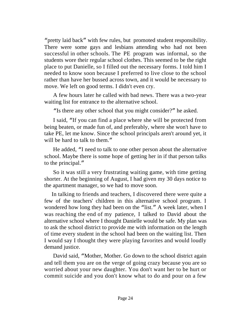"pretty laid back" with few rules, but promoted student responsibility. There were some gays and lesbians attending who had not been successful in other schools. The PE program was informal, so the students wore their regular school clothes. This seemed to be the right place to put Danielle, so I filled out the necessary forms. I told him I needed to know soon because I preferred to live close to the school rather than have her bussed across town, and it would be necessary to move. We left on good terms. I didn't even cry.

 A few hours later he called with bad news. There was a two-year waiting list for entrance to the alternative school.

"Is there any other school that you might consider?" he asked.

 I said, "If you can find a place where she will be protected from being beaten, or made fun of, and preferably, where she won't have to take PE, let me know. Since the school principals aren't around yet, it will be hard to talk to them."

 He added, "I need to talk to one other person about the alternative school. Maybe there is some hope of getting her in if that person talks to the principal."

 So it was still a very frustrating waiting game, with time getting shorter. At the beginning of August, I had given my 30 days notice to the apartment manager, so we had to move soon.

In talking to friends and teachers, I discovered there were quite a few of the teachers' children in this alternative school program. I wondered how long they had been on the "list." A week later, when I was reaching the end of my patience, I talked to David about the alternative school where I thought Danielle would be safe. My plan was to ask the school district to provide me with information on the length of time every student in the school had been on the waiting list. Then I would say I thought they were playing favorites and would loudly demand justice.

 David said, "Mother, Mother. Go down to the school district again and tell them you are on the verge of going crazy because you are so worried about your new daughter. You don't want her to be hurt or commit suicide and you don't know what to do and pour on a few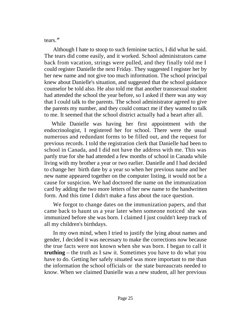tears."

 Although I hate to stoop to such feminine tactics, I did what he said. The tears did come easily, and it worked. School administrators came back from vacation, strings were pulled, and they finally told me I could register Danielle the next Friday. They suggested I register her by her new name and not give too much information. The school principal knew about Danielle's situation, and suggested that the school guidance counselor be told also. He also told me that another transsexual student had attended the school the year before, so I asked if there was any way that I could talk to the parents. The school administrator agreed to give the parents my number, and they could contact me if they wanted to talk to me. It seemed that the school district actually had a heart after all.

While Danielle was having her first appointment with the endocrinologist, I registered her for school. There were the usual numerous and redundant forms to be filled out, and the request for previous records. I told the registration clerk that Danielle had been to school in Canada, and I did not have the address with me. This was partly true for she had attended a few months of school in Canada while living with my brother a year or two earlier. Danielle and I had decided to change her birth date by a year so when her previous name and her new name appeared together on the computer listing, it would not be a cause for suspicion. We had doctored the name on the immunization card by adding the two more letters of her new name to the handwritten form. And this time I didn't make a fuss about the race question.

 We forgot to change dates on the immunization papers, and that came back to haunt us a year later when someone noticed she was immunized before she was born. I claimed I just couldn't keep track of all my children's birthdays.

 In my own mind, when I tried to justify the lying about names and gender, I decided it was necessary to make the corrections now because the true facts were not known when she was born. I began to call it **truthing** – the truth as I saw it. Sometimes you have to do what you have to do. Getting her safely situated was more important to me than the information the school officials or the state bureaucrats needed to know. When we claimed Danielle was a new student, all her previous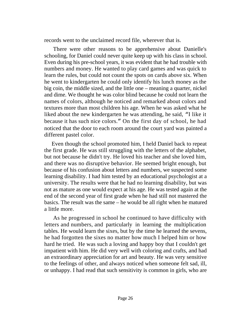records went to the unclaimed record file, wherever that is.

 There were other reasons to be apprehensive about Danielle's schooling, for Daniel could never quite keep up with his class in school. Even during his pre-school years, it was evident that he had trouble with numbers and money. He wanted to play card games and was quick to learn the rules, but could not count the spots on cards above six. When he went to kindergarten he could only identify his lunch money as the big coin, the middle sized, and the little one – meaning a quarter, nickel and dime. We thought he was color blind because he could not learn the names of colors, although he noticed and remarked about colors and textures more than most children his age. When he was asked what he liked about the new kindergarten he was attending, he said, "I like it because it has such nice colors." On the first day of school, he had noticed that the door to each room around the court yard was painted a different pastel color.

Even though the school promoted him, I held Daniel back to repeat the first grade. He was still struggling with the letters of the alphabet, but not because he didn't try. He loved his teacher and she loved him, and there was no disruptive behavior. He seemed bright enough, but because of his confusion about letters and numbers, we suspected some learning disability. I had him tested by an educational psychologist at a university. The results were that he had no learning disability, but was not as mature as one would expect at his age. He was tested again at the end of the second year of first grade when he had still not mastered the basics. The result was the same – he would be all right when he matured a little more.

 As he progressed in school he continued to have difficulty with letters and numbers, and particularly in learning the multiplication tables. He would learn the sixes, but by the time he learned the sevens, he had forgotten the sixes no matter how much I helped him or how hard he tried. He was such a loving and happy boy that I couldn't get impatient with him. He did very well with coloring and crafts, and had an extraordinary appreciation for art and beauty. He was very sensitive to the feelings of other, and always noticed when someone felt sad, ill, or unhappy. I had read that such sensitivity is common in girls, who are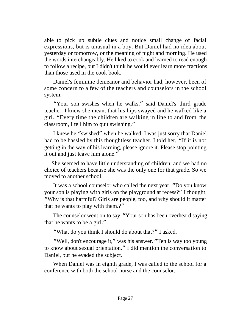able to pick up subtle clues and notice small change of facial expressions, but is unusual in a boy. But Daniel had no idea about yesterday or tomorrow, or the meaning of night and morning. He used the words interchangeably. He liked to cook and learned to read enough to follow a recipe, but I didn't think he would ever learn more fractions than those used in the cook book.

 Daniel's feminine demeanor and behavior had, however, been of some concern to a few of the teachers and counselors in the school system.

"Your son swishes when he walks," said Daniel's third grade teacher. I knew she meant that his hips swayed and he walked like a girl. "Every time the children are walking in line to and from the classroom, I tell him to quit swishing."

 I knew he "swished" when he walked. I was just sorry that Daniel had to be hassled by this thoughtless teacher. I told her, "If it is not getting in the way of his learning, please ignore it. Please stop pointing it out and just leave him alone."

She seemed to have little understanding of children, and we had no choice of teachers because she was the only one for that grade. So we moved to another school.

 It was a school counselor who called the next year. "Do you know your son is playing with girls on the playground at recess?" I thought, "Why is that harmful? Girls are people, too, and why should it matter that he wants to play with them.?"

 The counselor went on to say. "Your son has been overheard saying that he wants to be a girl."

"What do you think I should do about that?" I asked.

"Well, don't encourage it," was his answer. "Ten is way too young to know about sexual orientation." I did mention the conversation to Daniel, but he evaded the subject.

 When Daniel was in eighth grade, I was called to the school for a conference with both the school nurse and the counselor.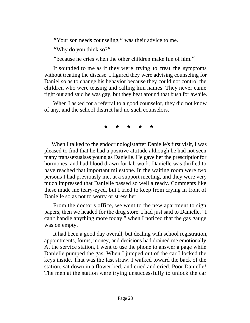"Your son needs counseling," was their advice to me.

"Why do you think so?"

"because he cries when the other children make fun of him."

 It sounded to me as if they were trying to treat the symptoms without treating the disease. I figured they were advising counseling for Daniel so as to change his behavior because they could not control the children who were teasing and calling him names. They never came right out and said he was gay, but they beat around that bush for awhile.

 When I asked for a referral to a good counselor, they did not know of any, and the school district had no such counselors.

\* \* \* \* \*

When I talked to the endocrinologist after Danielle's first visit, I was pleased to find that he had a positive attitude although he had not seen many transsexuals as young as Danielle. He gave her the prescription for hormones, and had blood drawn for lab work. Danielle was thrilled to have reached that important milestone. In the waiting room were two persons I had previously met at a support meeting, and they were very much impressed that Danielle passed so well already. Comments like these made me teary-eyed, but I tried to keep from crying in front of Danielle so as not to worry or stress her.

 From the doctor's office, we went to the new apartment to sign papers, then we headed for the drug store. I had just said to Danielle, "I can't handle anything more today," when I noticed that the gas gauge was on empty.

 It had been a good day overall, but dealing with school registration, appointments, forms, money, and decisions had drained me emotionally. At the service station, I went to use the phone to answer a page while Danielle pumped the gas. When I jumped out of the car I locked the keys inside. That was the last straw. I walked toward the back of the station, sat down in a flower bed, and cried and cried. Poor Danielle! The men at the station were trying unsuccessfully to unlock the car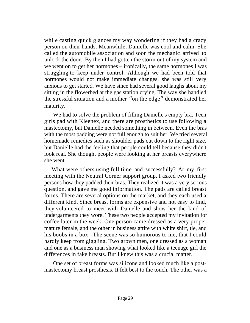while casting quick glances my way wondering if they had a crazy person on their hands. Meanwhile, Danielle was cool and calm. She called the automobile association and soon the mechanic arrived to unlock the door. By then I had gotten the storm out of my system and we went on to get her hormones – ironically, the same hormones I was struggling to keep under control. Although we had been told that hormones would not make immediate changes, she was still very anxious to get started. We have since had several good laughs about my sitting in the flowerbed at the gas station crying. The way she handled the stressful situation and a mother "on the edge" demonstrated her maturity.

 We had to solve the problem of filling Danielle's empty bra. Teen girls pad with Kleenex, and there are prosthetics to use following a mastectomy, but Danielle needed something in between. Even the bras with the most padding were not full enough to suit her. We tried several homemade remedies such as shoulder pads cut down to the right size, but Danielle had the feeling that people could tell because they didn't look real. She thought people were looking at her breasts everywhere she went.

What were others using full time and successfully? At my first meeting with the Neutral Corner support group, I asked two friendly persons how they padded their bras. They realized it was a very serious question, and gave me good information. The pads are called breast forms. There are several options on the market, and they each used a different kind. Since breast forms are expensive and not easy to find, they volunteered to meet with Danielle and show her the kind of undergarments they wore. These two people accepted my invitation for coffee later in the week. One person came dressed as a very proper mature female, and the other in business attire with white shirt, tie, and his boobs in a box. The scene was so humorous to me, that I could hardly keep from giggling. Two grown men, one dressed as a woman and one as a business man showing what looked like a teenage girl the differences in fake breasts. But I knew this was a crucial matter.

 One set of breast forms was silicone and looked much like a postmastectomy breast prosthesis. It felt best to the touch. The other was a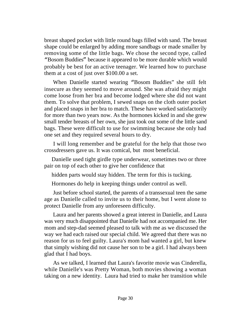breast shaped pocket with little round bags filled with sand. The breast shape could be enlarged by adding more sandbags or made smaller by removing some of the little bags. We chose the second type, called "Bosom Buddies" because it appeared to be more durable which would probably be best for an active teenager. We learned how to purchase them at a cost of just over \$100.00 a set.

 When Danielle started wearing "Bosom Buddies" she still felt insecure as they seemed to move around. She was afraid they might come loose from her bra and become lodged where she did not want them. To solve that problem, I sewed snaps on the cloth outer pocket and placed snaps in her bra to match. These have worked satisfactorily for more than two years now. As the hormones kicked in and she grew small tender breasts of her own, she just took out some of the little sand bags. These were difficult to use for swimming because she only had one set and they required several hours to dry.

 I will long remember and be grateful for the help that those two crossdressers gave us. It was comical, but most beneficial.

Danielle used tight girdle type underwear, sometimes two or three pair on top of each other to give her confidence that

hidden parts would stay hidden. The term for this is tucking.

Hormones do help in keeping things under control as well.

 Just before school started, the parents of a transsexual teen the same age as Danielle called to invite us to their home, but I went alone to protect Danielle from any unforeseen difficulty.

 Laura and her parents showed a great interest in Danielle, and Laura was very much disappointed that Danielle had not accompanied me. Her mom and step-dad seemed pleased to talk with me as we discussed the way we had each raised our special child. We agreed that there was no reason for us to feel guilty. Laura's mom had wanted a girl, but knew that simply wishing did not cause her son to be a girl. I had always been glad that I had boys.

 As we talked, I learned that Laura's favorite movie was Cinderella, while Danielle's was Pretty Woman, both movies showing a woman taking on a new identity. Laura had tried to make her transition while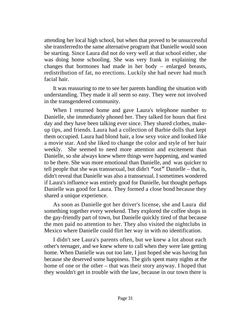attending her local high school, but when that proved to be unsuccessful she transferred to the same alternative program that Danielle would soon be starting. Since Laura did not do very well at that school either, she was doing home schooling. She was very frank in explaining the changes that hormones had made in her body – enlarged breasts, redistribution of fat, no erections. Luckily she had never had much facial hair.

 It was reassuring to me to see her parents handling the situation with understanding. They made it all seem so easy. They were not involved in the transgendered community.

 When I returned home and gave Laura's telephone number to Danielle, she immediately phoned her. They talked for hours that first day and they have been talking ever since. They shared clothes, makeup tips, and friends. Laura had a collection of Barbie dolls that kept them occupied. Laura had blond hair, a low sexy voice and looked like a movie star. And she liked to change the color and style of her hair weekly. She seemed to need more attention and excitement than Danielle, so she always knew where things were happening, and wanted to be there. She was more emotional than Danielle, and was quicker to tell people that she was transsexual, but didn't "out" Danielle – that is, didn't reveal that Danielle was also a transsexual. I sometimes wondered if Laura's influence was entirely good for Danielle, but thought perhaps Danielle was good for Laura. They formed a close bond because they shared a unique experience.

 As soon as Danielle got her driver's license, she and Laura did something together every weekend. They explored the coffee shops in the gay-friendly part of town, but Danielle quickly tired of that because the men paid no attention to her. They also visited the nightclubs in Mexico where Danielle could flirt her way in with no identification.

 I didn't see Laura's parents often, but we knew a lot about each other's teenager, and we knew where to call when they were late getting home. When Danielle was out too late, I just hoped she was having fun because she deserved some happiness. The girls spent many nights at the home of one or the other – that was their story anyway. I hoped that they wouldn't get in trouble with the law, because in our town there is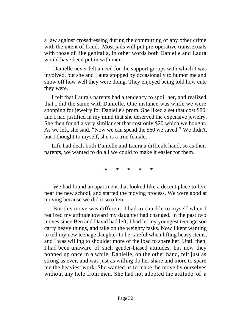a law against crossdressing during the committing of any other crime with the intent of fraud. Most jails will put pre-operative transsexuals with those of like genitalia, in other words both Danielle and Laura would have been put in with men.

 Danielle never felt a need for the support groups with which I was involved, but she and Laura stopped by occasionally to humor me and show off how well they were doing. They enjoyed being told how cute they were.

I felt that Laura's parents had a tendency to spoil her, and realized that I did the same with Danielle. One instance was while we were shopping for jewelry for Danielle's prom. She liked a set that cost \$80, and I had justified in my mind that she deserved the expensive jewelry. She then found a very similar set that cost only \$20 which we bought. As we left, she said, "Now we can spend the \$60 we saved." We didn't, but I thought to myself, she is a true female.

Life had dealt both Danielle and Laura a difficult hand, so as their parents, we wanted to do all we could to make it easier for them.

\* \* \* \* \*

 We had found an apartment that looked like a decent place to live near the new school, and started the moving process. We were good at moving because we did it so often

 But this move was different. I had to chuckle to myself when I realized my attitude toward my daughter had changed. In the past two moves since Ben and David had left, I had let my youngest teenage son carry heavy things, and take on the weighty tasks. Now I kept wanting to tell my new teenage daughter to be careful when lifting heavy items, and I was willing to shoulder more of the load to spare her. Until then, I had been unaware of such gender-biased attitudes, but now they popped up once in a while. Danielle, on the other hand, felt just as strong as ever, and was just as willing do her share and more to spare me the heaviest work. She wanted us to make the move by ourselves without any help from men. She had not adopted the attitude of a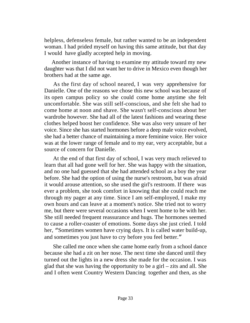helpless, defenseless female, but rather wanted to be an independent woman. I had prided myself on having this same attitude, but that day I would have gladly accepted help in moving.

Another instance of having to examine my attitude toward my new daughter was that I did not want her to drive in Mexico even though her brothers had at the same age.

 As the first day of school neared, I was very apprehensive for Danielle. One of the reasons we chose this new school was because of its open campus policy so she could come home anytime she felt uncomfortable. She was still self-conscious, and she felt she had to come home at noon and shave. She wasn't self-conscious about her wardrobe however. She had all of the latest fashions and wearing these clothes helped boost her confidence. She was also very unsure of her voice. Since she has started hormones before a deep male voice evolved, she had a better chance of maintaining a more feminine voice. Her voice was at the lower range of female and to my ear, very acceptable, but a source of concern for Danielle.

 At the end of that first day of school, I was very much relieved to learn that all had gone well for her. She was happy with the situation, and no one had guessed that she had attended school as a boy the year before. She had the option of using the nurse's restroom, but was afraid it would arouse attention, so she used the girl's restroom. If there was ever a problem, she took comfort in knowing that she could reach me through my pager at any time. Since I am self-employed, I make my own hours and can leave at a moment's notice. She tried not to worry me, but there were several occasions when I went home to be with her. She still needed frequent reassurance and hugs. The hormones seemed to cause a roller-coaster of emotions. Some days she just cried. I told her, "Sometimes women have crying days. It is called water build-up, and sometimes you just have to cry before you feel better."

 She called me once when she came home early from a school dance because she had a zit on her nose. The next time she danced until they turned out the lights in a new dress she made for the occasion. I was glad that she was having the opportunity to be a girl – zits and all. She and I often went Country Western Dancing together and then, as she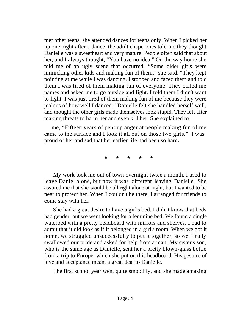met other teens, she attended dances for teens only. When I picked her up one night after a dance, the adult chaperones told me they thought Danielle was a sweetheart and very mature. People often said that about her, and I always thought, "You have no idea." On the way home she told me of an ugly scene that occurred. "Some older girls were mimicking other kids and making fun of them," she said. "They kept pointing at me while I was dancing. I stopped and faced them and told them I was tired of them making fun of everyone. They called me names and asked me to go outside and fight. I told them I didn't want to fight. I was just tired of them making fun of me because they were jealous of how well I danced." Danielle felt she handled herself well, and thought the other girls made themselves look stupid. They left after making threats to harm her and even kill her. She explained to

me, "Fifteen years of pent up anger at people making fun of me came to the surface and I took it all out on those two girls." I was proud of her and sad that her earlier life had been so hard.

\* \* \* \* \*

 My work took me out of town overnight twice a month. I used to leave Daniel alone, but now it was different leaving Danielle. She assured me that she would be all right alone at night, but I wanted to be near to protect her. When I couldn't be there, I arranged for friends to come stay with her.

 She had a great desire to have a girl's bed. I didn't know that beds had gender, but we went looking for a feminine bed. We found a single waterbed with a pretty headboard with mirrors and shelves. I had to admit that it did look as if it belonged in a girl's room. When we got it home, we struggled unsuccessfully to put it together, so we finally swallowed our pride and asked for help from a man. My sister's son, who is the same age as Danielle, sent her a pretty blown-glass bottle from a trip to Europe, which she put on this headboard. His gesture of love and acceptance meant a great deal to Danielle.

The first school year went quite smoothly, and she made amazing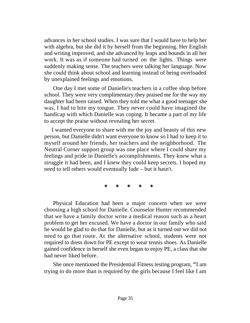advances in her school studies. I was sure that I would have to help her with algebra, but she did it by herself from the beginning. Her English and writing improved, and she advanced by leaps and bounds in all her work. It was as if someone had turned on the lights. Things were suddenly making sense. The teachers were talking her language. Now she could think about school and learning instead of being overloaded by unexplained feelings and emotions.

 One day I met some of Danielle's teachers in a coffee shop before school. They were very complimentary: they praised me for the way my daughter had been raised. When they told me what a good teenager she was, I had to bite my tongue. They never could have imagined the handicap with which Danielle was coping. It became a part of my life to accept the praise without revealing her secret.

I wanted everyone to share with me the joy and beauty of this new person, but Danielle didn't want everyone to know so I had to keep it to myself around her friends, her teachers and the neighborhood. The Neutral Corner support group was one place where I could share my feelings and pride in Danielle's accomplishments. They knew what a struggle it had been, and I knew they could keep secrets. I hoped my need to tell others would eventually fade – but it hasn't.

\* \* \* \* \*

 Physical Education had been a major concern when we were choosing a high school for Danielle. Counselor Hunter recommended that we have a family doctor write a medical reason such as a heart problem to get her excused. We have a doctor in our family who said he would be glad to do that for Danielle, but as it turned out we did not need to go that route. At the alternative school, students were not required to dress down for PE except to wear tennis shoes. As Danielle gained confidence in herself she even began to enjoy PE, a class that she had never liked before.

 She once mentioned the Presidential Fitness testing program, "I am trying to do more than is required by the girls because I feel like I am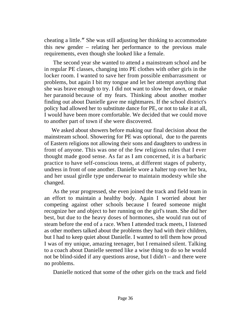cheating a little." She was still adjusting her thinking to accommodate this new gender – relating her performance to the previous male requirements, even though she looked like a female.

 The second year she wanted to attend a mainstream school and be in regular PE classes, changing into PE clothes with other girls in the locker room. I wanted to save her from possible embarrassment or problems, but again I bit my tongue and let her attempt anything that she was brave enough to try. I did not want to slow her down, or make her paranoid because of my fears. Thinking about another mother finding out about Danielle gave me nightmares. If the school district's policy had allowed her to substitute dance for PE, or not to take it at all, I would have been more comfortable. We decided that we could move to another part of town if she were discovered.

We asked about showers before making our final decision about the mainstream school. Showering for PE was optional, due to the parents of Eastern religions not allowing their sons and daughters to undress in front of anyone. This was one of the few religious rules that I ever thought made good sense. As far as I am concerned, it is a barbaric practice to have self-conscious teens, at different stages of puberty, undress in front of one another. Danielle wore a halter top over her bra, and her usual girdle type underwear to maintain modesty while she changed.

 As the year progressed, she even joined the track and field team in an effort to maintain a healthy body. Again I worried about her competing against other schools because I feared someone might recognize her and object to her running on the girl's team. She did her best, but due to the heavy doses of hormones, she would run out of steam before the end of a race. When I attended track meets, I listened as other mothers talked about the problems they had with their children, but I had to keep quiet about Danielle. I wanted to tell them how proud I was of my unique, amazing teenager, but I remained silent. Talking to a coach about Danielle seemed like a wise thing to do so he would not be blind-sided if any questions arose, but I didn't – and there were no problems.

Danielle noticed that some of the other girls on the track and field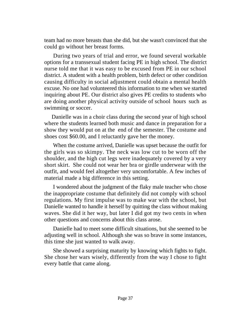team had no more breasts than she did, but she wasn't convinced that she could go without her breast forms.

 During two years of trial and error, we found several workable options for a transsexual student facing PE in high school. The district nurse told me that it was easy to be excused from PE in our school district. A student with a health problem, birth defect or other condition causing difficulty in social adjustment could obtain a mental health excuse. No one had volunteered this information to me when we started inquiring about PE. Our district also gives PE credits to students who are doing another physical activity outside of school hours such as swimming or soccer.

Danielle was in a choir class during the second year of high school where the students learned both music and dance in preparation for a show they would put on at the end of the semester. The costume and shoes cost \$60.00, and I reluctantly gave her the money.

 When the costume arrived, Danielle was upset because the outfit for the girls was so skimpy. The neck was low cut to be worn off the shoulder, and the high cut legs were inadequately covered by a very short skirt. She could not wear her bra or girdle underwear with the outfit, and would feel altogether very uncomfortable. A few inches of material made a big difference in this setting.

 I wondered about the judgment of the flaky male teacher who chose the inappropriate costume that definitely did not comply with school regulations. My first impulse was to make war with the school, but Danielle wanted to handle it herself by quitting the class without making waves. She did it her way, but later I did got my two cents in when other questions and concerns about this class arose.

 Danielle had to meet some difficult situations, but she seemed to be adjusting well in school. Although she was so brave in some instances, this time she just wanted to walk away.

She showed a surprising maturity by knowing which fights to fight. She chose her wars wisely, differently from the way I chose to fight every battle that came along.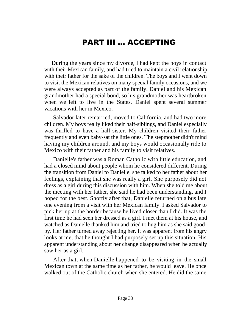## PART III … ACCEPTING

During the years since my divorce, I had kept the boys in contact with their Mexican family, and had tried to maintain a civil relationship with their father for the sake of the children. The boys and I went down to visit the Mexican relatives on many special family occasions, and we were always accepted as part of the family. Daniel and his Mexican grandmother had a special bond, so his grandmother was heartbroken when we left to live in the States. Daniel spent several summer vacations with her in Mexico.

 Salvador later remarried, moved to California, and had two more children. My boys really liked their half-siblings, and Daniel especially was thrilled to have a half-sister. My children visited their father frequently and even baby-sat the little ones. The stepmother didn't mind having my children around, and my boys would occasionally ride to Mexico with their father and his family to visit relatives.

 Danielle's father was a Roman Catholic with little education, and had a closed mind about people whom he considered different. During the transition from Daniel to Danielle, she talked to her father about her feelings, explaining that she was really a girl. She purposely did not dress as a girl during this discussion with him. When she told me about the meeting with her father, she said he had been understanding, and I hoped for the best. Shortly after that, Danielle returned on a bus late one evening from a visit with her Mexican family. I asked Salvador to pick her up at the border because he lived closer than I did. It was the first time he had seen her dressed as a girl. I met them at his house, and watched as Danielle thanked him and tried to hug him as she said goodby. Her father turned away rejecting her. It was apparent from his angry looks at me, that he thought I had purposely set up this situation. His apparent understanding about her change disappeared when he actually saw her as a girl.

 After that, when Danielle happened to be visiting in the small Mexican town at the same time as her father, he would leave. He once walked out of the Catholic church when she entered. He did the same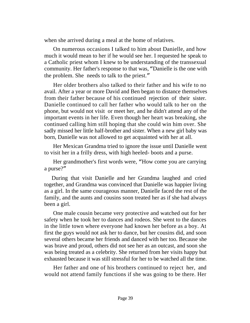when she arrived during a meal at the home of relatives.

 On numerous occasions I talked to him about Danielle, and how much it would mean to her if he would see her. I requested he speak to a Catholic priest whom I knew to be understanding of the transsexual community. Her father's response to that was, "Danielle is the one with the problem. She needs to talk to the priest."

 Her older brothers also talked to their father and his wife to no avail. After a year or more David and Ben began to distance themselves from their father because of his continued rejection of their sister. Danielle continued to call her father who would talk to her on the phone, but would not visit or meet her, and he didn't attend any of the important events in her life. Even though her heart was breaking, she continued calling him still hoping that she could win him over. She sadly missed her little half-brother and sister. When a new girl baby was born, Danielle was not allowed to get acquainted with her at all.

 Her Mexican Grandma tried to ignore the issue until Danielle went to visit her in a frilly dress, with high heeled- boots and a purse.

 Her grandmother's first words were, "How come you are carrying a purse?"

During that visit Danielle and her Grandma laughed and cried together, and Grandma was convinced that Danielle was happier living as a girl. In the same courageous manner, Danielle faced the rest of the family, and the aunts and cousins soon treated her as if she had always been a girl.

 One male cousin became very protective and watched out for her safety when he took her to dances and rodeos. She went to the dances in the little town where everyone had known her before as a boy. At first the guys would not ask her to dance, but her cousins did, and soon several others became her friends and danced with her too. Because she was brave and proud, others did not see her as an outcast, and soon she was being treated as a celebrity. She returned from her visits happy but exhausted because it was still stressful for her to be watched all the time.

 Her father and one of his brothers continued to reject her, and would not attend family functions if she was going to be there. Her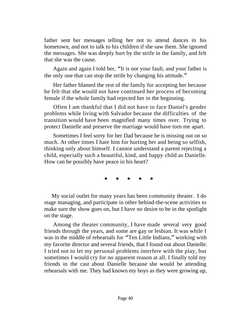father sent her messages telling her not to attend dances in his hometown, and not to talk to his children if she saw them. She ignored the messages. She was deeply hurt by the strife in the family, and felt that she was the cause.

 Again and again I told her, "It is not your fault, and your father is the only one that can stop the strife by changing his attitude."

 Her father blamed the rest of the family for accepting her because he felt that she would not have continued her process of becoming female if the whole family had rejected her in the beginning.

 Often I am thankful that I did not have to face Daniel's gender problems while living with Salvador because the difficulties of the transition would have been magnified many times over. Trying to protect Danielle and preserve the marriage would have torn me apart.

 Sometimes I feel sorry for her Dad because he is missing out on so much. At other times I hate him for hurting her and being so selfish, thinking only about himself. I cannot understand a parent rejecting a child, especially such a beautiful, kind, and happy child as Danielle. How can he possibly have peace in his heart?

\* \* \* \* \*

My social outlet for many years has been community theater. I do stage managing, and participate in other behind-the-scene activities to make sure the show goes on, but I have no desire to be in the spotlight on the stage.

 Among the theater community, I have made several very good friends through the years, and some are gay or lesbian. It was while I was in the middle of rehearsals for "Ten Little Indians," working with my favorite director and several friends, that I found out about Danielle. I tried not to let my personal problems interfere with the play, but sometimes I would cry for no apparent reason at all. I finally told my friends in the cast about Danielle because she would be attending rehearsals with me. They had known my boys as they were growing up,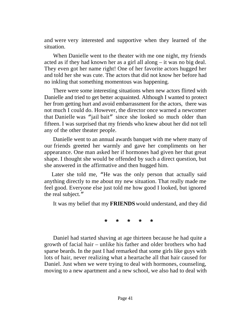and were very interested and supportive when they learned of the situation.

 When Danielle went to the theater with me one night, my friends acted as if they had known her as a girl all along – it was no big deal. They even got her name right! One of her favorite actors hugged her and told her she was cute. The actors that did not know her before had no inkling that something momentous was happening.

 There were some interesting situations when new actors flirted with Danielle and tried to get better acquainted. Although I wanted to protect her from getting hurt and avoid embarrassment for the actors, there was not much I could do. However, the director once warned a newcomer that Danielle was "jail bait" since she looked so much older than fifteen. I was surprised that my friends who knew about her did not tell any of the other theater people.

 Danielle went to an annual awards banquet with me where many of our friends greeted her warmly and gave her compliments on her appearance. One man asked her if hormones had given her that great shape. I thought she would be offended by such a direct question, but she answered in the affirmative and then hugged him.

Later she told me, "He was the only person that actually said anything directly to me about my new situation. That really made me feel good. Everyone else just told me how good I looked, but ignored the real subject."

It was my belief that my **FRIENDS** would understand, and they did

\* \* \* \* \*

 Daniel had started shaving at age thirteen because he had quite a growth of facial hair – unlike his father and older brothers who had sparse beards. In the past I had remarked that some girls like guys with lots of hair, never realizing what a heartache all that hair caused for Daniel. Just when we were trying to deal with hormones, counseling, moving to a new apartment and a new school, we also had to deal with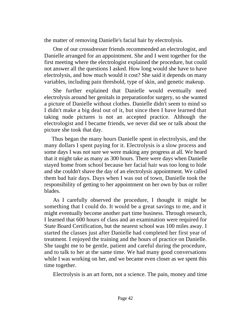the matter of removing Danielle's facial hair by electrolysis.

 One of our crossdresser friends recommended an electrologist, and Danielle arranged for an appointment. She and I went together for the first meeting where the electrologist explained the procedure, but could not answer all the questions I asked. How long would she have to have electrolysis, and how much would it cost? She said it depends on many variables, including pain threshold, type of skin, and genetic makeup.

 She further explained that Danielle would eventually need electrolysis around her genitals in preparation for surgery, so she wanted a picture of Danielle without clothes. Danielle didn't seem to mind so I didn't make a big deal out of it, but since then I have learned that taking nude pictures is not an accepted practice. Although the electrologist and I became friends, we never did see or talk about the picture she took that day.

Thus began the many hours Danielle spent in electrolysis, and the many dollars I spent paying for it. Electrolysis is a slow process and some days I was not sure we were making any progress at all. We heard that it might take as many as 300 hours. There were days when Danielle stayed home from school because her facial hair was too long to hide and she couldn't shave the day of an electrolysis appointment. We called them bad hair days. Days when I was out of town, Danielle took the responsibility of getting to her appointment on her own by bus or roller blades.

 As I carefully observed the procedure, I thought it might be something that I could do. It would be a great savings to me, and it might eventually become another part time business. Through research, I learned that 600 hours of class and an examination were required for State Board Certification, but the nearest school was 100 miles away. I started the classes just after Danielle had completed her first year of treatment. I enjoyed the training and the hours of practice on Danielle. She taught me to be gentle, patient and careful during the procedure, and to talk to her at the same time. We had many good conversations while I was working on her, and we became even closer as we spent this time together.

Electrolysis is an art form, not a science. The pain, money and time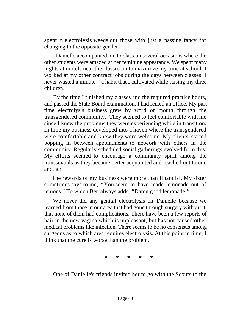spent in electrolysis weeds out those with just a passing fancy for changing to the opposite gender.

 Danielle accompanied me to class on several occasions where the other students were amazed at her feminine appearance. We spent many nights at motels near the classroom to maximize my time at school. I worked at my other contract jobs during the days between classes. I never wasted a minute – a habit that I cultivated while raising my three children.

 By the time I finished my classes and the required practice hours, and passed the State Board examination, I had rented an office. My part time electrolysis business grew by word of mouth through the transgendered community. They seemed to feel comfortable with me since I knew the problems they were experiencing while in transition. In time my business developed into a haven where the transgendered were comfortable and knew they were welcome. My clients started popping in between appointments to network with others in the community. Regularly scheduled social gatherings evolved from this. My efforts seemed to encourage a community spirit among the transsexuals as they became better acquainted and reached out to one another.

The rewards of my business were more than financial. My sister sometimes says to me, "You seem to have made lemonade out of lemons." To which Ben always adds, "Damn good lemonade."

 We never did any genital electrolysis on Danielle because we learned from those in our area that had gone through surgery without it, that none of them had complications. There have been a few reports of hair in the new vagina which is unpleasant, but has not caused other medical problems like infection. There seems to be no consensus among surgeons as to which area requires electrolysis. At this point in time, I think that the cure is worse than the problem.

\* \* \* \* \*

One of Danielle's friends invited her to go with the Scouts to the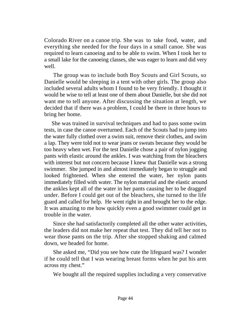Colorado River on a canoe trip. She was to take food, water, and everything she needed for the four days in a small canoe. She was required to learn canoeing and to be able to swim. When I took her to a small lake for the canoeing classes, she was eager to learn and did very well.

 The group was to include both Boy Scouts and Girl Scouts, so Danielle would be sleeping in a tent with other girls. The group also included several adults whom I found to be very friendly. I thought it would be wise to tell at least one of them about Danielle, but she did not want me to tell anyone. After discussing the situation at length, we decided that if there was a problem, I could be there in three hours to bring her home.

She was trained in survival techniques and had to pass some swim tests, in case the canoe overturned. Each of the Scouts had to jump into the water fully clothed over a swim suit, remove their clothes, and swim a lap. They were told not to wear jeans or sweats because they would be too heavy when wet. For the test Danielle chose a pair of nylon jogging pants with elastic around the ankles. I was watching from the bleachers with interest but not concern because I knew that Danielle was a strong swimmer. She jumped in and almost immediately began to struggle and looked frightened. When she entered the water, her nylon pants immediately filled with water. The nylon material and the elastic around the ankles kept all of the water in her pants causing her to be dragged under. Before I could get out of the bleachers, she turned to the life guard and called for help. He went right in and brought her to the edge. It was amazing to me how quickly even a good swimmer could get in trouble in the water.

 Since she had satisfactorily completed all the other water activities, the leaders did not make her repeat that test. They did tell her not to wear those pants on the trip. After she stopped shaking and calmed down, we headed for home.

 She asked me, "Did you see how cute the lifeguard was? I wonder if he could tell that I was wearing breast forms when he put his arm across my chest."

We bought all the required supplies including a very conservative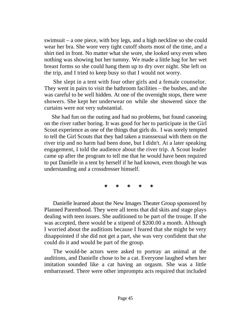swimsuit – a one piece, with boy legs, and a high neckline so she could wear her bra. She wore very tight cutoff shorts most of the time, and a shirt tied in front. No matter what she wore, she looked sexy even when nothing was showing but her tummy. We made a little bag for her wet breast forms so she could hang them up to dry over night. She left on the trip, and I tried to keep busy so that I would not worry.

 She slept in a tent with four other girls and a female counselor. They went in pairs to visit the bathroom facilities – the bushes, and she was careful to be well hidden. At one of the overnight stops, there were showers. She kept her underwear on while she showered since the curtains were not very substantial.

She had fun on the outing and had no problems, but found canoeing on the river rather boring. It was good for her to participate in the Girl Scout experience as one of the things that girls do. I was sorely tempted to tell the Girl Scouts that they had taken a transsexual with them on the river trip and no harm had been done, but I didn't. At a later speaking engagement, I told the audience about the river trip. A Scout leader came up after the program to tell me that he would have been required to put Danielle in a tent by herself if he had known, even though he was understanding and a crossdresser himself.

\* \* \* \* \*

 Danielle learned about the New Images Theater Group sponsored by Planned Parenthood. They were all teens that did skits and stage plays dealing with teen issues. She auditioned to be part of the troupe. If she was accepted, there would be a stipend of \$200.00 a month. Although I worried about the auditions because I feared that she might be very disappointed if she did not get a part, she was very confident that she could do it and would be part of the group.

 The would-be actors were asked to portray an animal at the auditions, and Danielle chose to be a cat. Everyone laughed when her imitation sounded like a cat having an orgasm. She was a little embarrassed. There were other impromptu acts required that included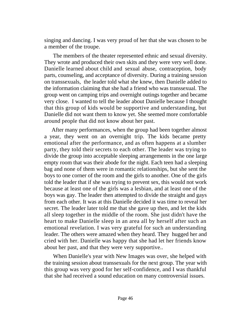singing and dancing. I was very proud of her that she was chosen to be a member of the troupe.

 The members of the theater represented ethnic and sexual diversity. They wrote and produced their own skits and they were very well done. Danielle learned about child and sexual abuse, contraception, body parts, counseling, and acceptance of diversity. During a training session on transsexuals, the leader told what she knew, then Danielle added to the information claiming that she had a friend who was transsexual. The group went on camping trips and overnight outings together and became very close. I wanted to tell the leader about Danielle because I thought that this group of kids would be supportive and understanding, but Danielle did not want them to know yet. She seemed more comfortable around people that did not know about her past.

After many performances, when the group had been together almost a year, they went on an overnight trip. The kids became pretty emotional after the performance, and as often happens at a slumber party, they told their secrets to each other. The leader was trying to divide the group into acceptable sleeping arrangements in the one large empty room that was their abode for the night. Each teen had a sleeping bag and none of them were in romantic relationships, but she sent the boys to one corner of the room and the girls to another. One of the girls told the leader that if she was trying to prevent sex, this would not work because at least one of the girls was a lesbian, and at least one of the boys was gay. The leader then attempted to divide the straight and gays from each other. It was at this Danielle decided it was time to reveal her secret. The leader later told me that she gave up then, and let the kids all sleep together in the middle of the room. She just didn't have the heart to make Danielle sleep in an area all by herself after such an emotional revelation. I was very grateful for such an understanding leader. The others were amazed when they heard. They hugged her and cried with her. Danielle was happy that she had let her friends know about her past, and that they were very supportive..

 When Danielle's year with New Images was over, she helped with the training session about transsexuals for the next group. The year with this group was very good for her self-confidence, and I was thankful that she had received a sound education on many controversial issues.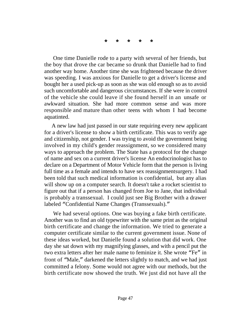#### \* \* \* \* \*

 One time Danielle rode to a party with several of her friends, but the boy that drove the car became so drunk that Danielle had to find another way home. Another time she was frightened because the driver was speeding. I was anxious for Danielle to get a driver's license and bought her a used pick-up as soon as she was old enough so as to avoid such uncomfortable and dangerous circumstances. If she were in control of the vehicle she could leave if she found herself in an unsafe or awkward situation. She had more common sense and was more responsible and mature than other teens with whom I had become aquatinted.

A new law had just passed in our state requiring every new applicant for a driver's license to show a birth certificate. This was to verify age and citizenship, not gender. I was trying to avoid the government being involved in my child's gender reassignment, so we considered many ways to approach the problem. The State has a protocol for the change of name and sex on a current driver's license An endocrinologist has to declare on a Department of Motor Vehicle form that the person is living full time as a female and intends to have sex reassignment surgery. I had been told that such medical information is confidential, but any alias will show up on a computer search. It doesn't take a rocket scientist to figure out that if a person has changed from Joe to Jane, that individual is probably a transsexual. I could just see Big Brother with a drawer labeled "Confidential Name Changes (Transsexuals)."

 We had several options. One was buying a fake birth certificate. Another was to find an old typewriter with the same print as the original birth certificate and change the information. We tried to generate a computer certificate similar to the current government issue. None of these ideas worked, but Danielle found a solution that did work. One day she sat down with my magnifying glasses, and with a pencil put the two extra letters after her male name to feminize it. She wrote "Fe" in front of "Male," darkened the letters slightly to match, and we had just committed a felony. Some would not agree with our methods, but the birth certificate now showed the truth. We just did not have all the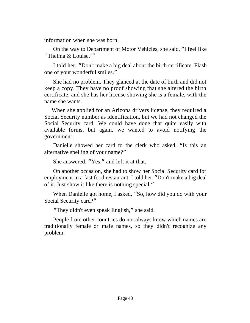information when she was born.

 On the way to Department of Motor Vehicles, she said, "I feel like 'Thelma & Louise.'"

 I told her, "Don't make a big deal about the birth certificate. Flash one of your wonderful smiles."

 She had no problem. They glanced at the date of birth and did not keep a copy. They have no proof showing that she altered the birth certificate, and she has her license showing she is a female, with the name she wants.

When she applied for an Arizona drivers license, they required a Social Security number as identification, but we had not changed the Social Security card. We could have done that quite easily with available forms, but again, we wanted to avoid notifying the government.

 Danielle showed her card to the clerk who asked, "Is this an alternative spelling of your name?"

She answered, "Yes," and left it at that.

 On another occasion, she had to show her Social Security card for employment in a fast food restaurant. I told her, "Don't make a big deal of it. Just show it like there is nothing special."

 When Danielle got home, I asked, "So, how did you do with your Social Security card?"

"They didn't even speak English," she said.

 People from other countries do not always know which names are traditionally female or male names, so they didn't recognize any problem.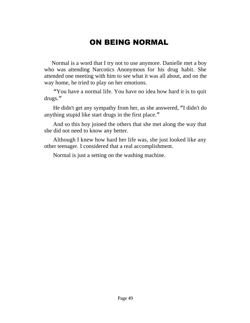# ON BEING NORMAL

Normal is a word that I try not to use anymore. Danielle met a boy who was attending Narcotics Anonymous for his drug habit. She attended one meeting with him to see what it was all about, and on the way home, he tried to play on her emotions.

"You have a normal life. You have no idea how hard it is to quit drugs."

 He didn't get any sympathy from her, as she answered, "I didn't do anything stupid like start drugs in the first place."

 And so this boy joined the others that she met along the way that she did not need to know any better.

 Although I knew how hard her life was, she just looked like any other teenager. I considered that a real accomplishment.

Normal is just a setting on the washing machine.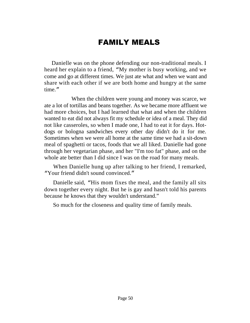# FAMILY MEALS

Danielle was on the phone defending our non-traditional meals. I heard her explain to a friend, "My mother is busy working, and we come and go at different times. We just ate what and when we want and share with each other if we are both home and hungry at the same time."

 When the children were young and money was scarce, we ate a lot of tortillas and beans together. As we became more affluent we had more choices, but I had learned that what and when the children wanted to eat did not always fit my schedule or idea of a meal. They did not like casseroles, so when I made one, I had to eat it for days. Hotdogs or bologna sandwiches every other day didn't do it for me. Sometimes when we were all home at the same time we had a sit-down meal of spaghetti or tacos, foods that we all liked. Danielle had gone through her vegetarian phase, and her "I'm too fat" phase, and on the whole ate better than I did since I was on the road for many meals.

 When Danielle hung up after talking to her friend, I remarked, "Your friend didn't sound convinced."

 Danielle said, "His mom fixes the meal, and the family all sits down together every night. But he is gay and hasn't told his parents because he knows that they wouldn't understand."

So much for the closeness and quality time of family meals.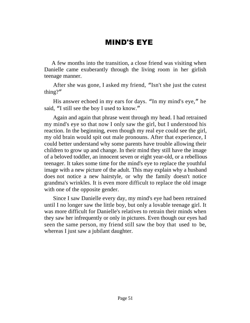#### MIND'S EYE

A few months into the transition, a close friend was visiting when Danielle came exuberantly through the living room in her girlish teenage manner.

 After she was gone, I asked my friend, "Isn't she just the cutest thing?"

 His answer echoed in my ears for days. "In my mind's eye," he said, "I still see the boy I used to know."

 Again and again that phrase went through my head. I had retrained my mind's eye so that now I only saw the girl, but I understood his reaction. In the beginning, even though my real eye could see the girl, my old brain would spit out male pronouns. After that experience, I could better understand why some parents have trouble allowing their children to grow up and change. In their mind they still have the image of a beloved toddler, an innocent seven or eight year-old, or a rebellious teenager. It takes some time for the mind's eye to replace the youthful image with a new picture of the adult. This may explain why a husband does not notice a new hairstyle, or why the family doesn't notice grandma's wrinkles. It is even more difficult to replace the old image with one of the opposite gender.

 Since I saw Danielle every day, my mind's eye had been retrained until I no longer saw the little boy, but only a lovable teenage girl. It was more difficult for Danielle's relatives to retrain their minds when they saw her infrequently or only in pictures. Even though our eyes had seen the same person, my friend still saw the boy that used to be, whereas I just saw a jubilant daughter.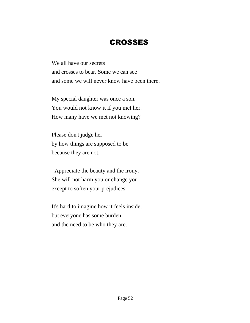# CROSSES

We all have our secrets and crosses to bear. Some we can see and some we will never know have been there.

My special daughter was once a son. You would not know it if you met her. How many have we met not knowing?

Please don't judge her by how things are supposed to be because they are not.

 Appreciate the beauty and the irony. She will not harm you or change you except to soften your prejudices.

It's hard to imagine how it feels inside, but everyone has some burden and the need to be who they are.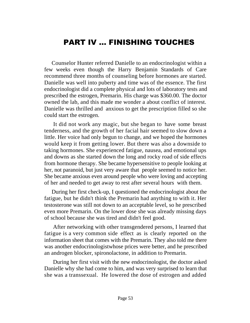### PART IV … FINISHING TOUCHES

Counselor Hunter referred Danielle to an endocrinologist within a few weeks even though the Harry Benjamin Standards of Care recommend three months of counseling before hormones are started. Danielle was well into puberty and time was of the essence. The first endocrinologist did a complete physical and lots of laboratory tests and prescribed the estrogen, Premarin. His charge was \$360.00. The doctor owned the lab, and this made me wonder a about conflict of interest. Danielle was thrilled and anxious to get the prescription filled so she could start the estrogen.

 It did not work any magic, but she began to have some breast tenderness, and the growth of her facial hair seemed to slow down a little. Her voice had only begun to change, and we hoped the hormones would keep it from getting lower. But there was also a downside to taking hormones. She experienced fatigue, nausea, and emotional ups and downs as she started down the long and rocky road of side effects from hormone therapy. She became hypersensitive to people looking at her, not paranoid, but just very aware that people seemed to notice her. She became anxious even around people who were loving and accepting of her and needed to get away to rest after several hours with them.

During her first check-up, I questioned the endocrinologist about the fatigue, but he didn't think the Premarin had anything to with it. Her testosterone was still not down to an acceptable level, so he prescribed even more Premarin. On the lower dose she was already missing days of school because she was tired and didn't feel good.

 After networking with other transgendered persons, I learned that fatigue is a very common side effect as is clearly reported on the information sheet that comes with the Premarin. They also told me there was another endocrinologist whose prices were better, and he prescribed an androgen blocker, spironolactone, in addition to Premarin.

 During her first visit with the new endocrinologist, the doctor asked Danielle why she had come to him, and was very surprised to learn that she was a transsexual. He lowered the dose of estrogen and added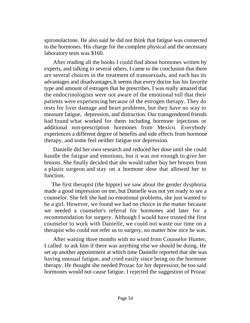spironolactone. He also said he did not think that fatigue was connected to the hormones. His charge for the complete physical and the necessary laboratory tests was \$160.

 After reading all the books I could find about hormones written by experts, and talking to several others, I came to the conclusion that there are several choices in the treatment of transsexuals, and each has its advantages and disadvantages. It seems that every doctor has his favorite type and amount of estrogen that he prescribes. I was really amazed that the endocrinologists were not aware of the emotional toll that their patients were experiencing because of the estrogen therapy. They do tests for liver damage and heart problems, but they have no way to measure fatigue, depression, and distraction. Our transgendered friends had found what worked for them including hormone injections or additional non-prescription hormones from Mexico. Everybody experiences a different degree of benefits and side effects from hormone therapy, and some feel neither fatigue nor depression.

 Danielle did her own research and reduced her dose until she could handle the fatigue and emotions, but it was not enough to give her breasts. She finally decided that she would rather buy her breasts from a plastic surgeon and stay on a hormone dose that allowed her to function.

The first therapist (the hippie) we saw about the gender dysphoria made a good impression on me, but Danielle was not yet ready to see a counselor. She felt she had no emotional problems, she just wanted to be a girl. However, we found we had no choice in the matter because we needed a counselor's referral for hormones and later for a recommendation for surgery. Although I would have trusted the first counselor to work with Danielle, we could not waste our time on a therapist who could not refer us to surgery, no matter how nice he was.

 After waiting three months with no word from Counselor Hunter, I called to ask him if there was anything else we should be doing. He set up another appointment at which time Danielle reported that she was having unusual fatigue, and cried easily since being on the hormone therapy. He thought she needed Prozac for her depression; he too said hormones would not cause fatigue. I rejected the suggestion of Prozac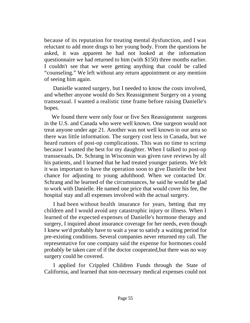because of its reputation for treating mental dysfunction, and I was reluctant to add more drugs to her young body. From the questions he asked, it was apparent he had not looked at the information questionnaire we had returned to him (with \$150) three months earlier. I couldn't see that we were getting anything that could be called "counseling." We left without any return appointment or any mention of seeing him again.

 Danielle wanted surgery, but I needed to know the costs involved, and whether anyone would do Sex Reassignment Surgery on a young transsexual. I wanted a realistic time frame before raising Danielle's hopes.

We found there were only four or five Sex Reassignment surgeons in the U.S. and Canada who were well known. One surgeon would not treat anyone under age 21. Another was not well known in our area so there was little information. The surgery cost less in Canada, but we heard rumors of post-op complications. This was no time to scrimp because I wanted the best for my daughter. When I talked to post-op transsexuals, Dr. Schrang in Wisconsin was given rave reviews by all his patients, and I learned that he had treated younger patients. We felt it was important to have the operation soon to give Danielle the best chance for adjusting to young adulthood. When we contacted Dr. Schrang and he learned of the circumstances, he said he would be glad to work with Danielle. He named one price that would cover his fee, the hospital stay and all expenses involved with the actual surgery.

 I had been without health insurance for years, betting that my children and I would avoid any catastrophic injury or illness. When I learned of the expected expenses of Danielle's hormone therapy and surgery, I inquired about insurance coverage for her needs, even though I knew we'd probably have to wait a year to satisfy a waiting period for pre-existing conditions. Several companies never returned my call. The representative for one company said the expense for hormones could probably be taken care of if the doctor cooperated, but there was no way surgery could be covered.

 I applied for Crippled Children Funds through the State of California, and learned that non-necessary medical expenses could not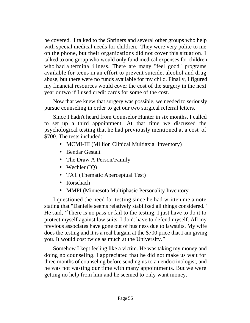be covered. I talked to the Shriners and several other groups who help with special medical needs for children. They were very polite to me on the phone, but their organizations did not cover this situation. I talked to one group who would only fund medical expenses for children who had a terminal illness. There are many "feel good" programs available for teens in an effort to prevent suicide, alcohol and drug abuse, but there were no funds available for my child. Finally, I figured my financial resources would cover the cost of the surgery in the next year or two if I used credit cards for some of the cost.

 Now that we knew that surgery was possible, we needed to seriously pursue counseling in order to get our two surgical referral letters.

 Since I hadn't heard from Counselor Hunter in six months, I called to set up a third appointment. At that time we discussed the psychological testing that he had previously mentioned at a cost of \$700. The tests included:

- MCMI-III (Million Clinical Multiaxial Inventory)
- Bendar Gestalt
- The Draw A Person/Family
- Wechler (IQ)
- TAT (Thematic Aperceptual Test)
- Rorschach
- MMPI (Minnesota Multiphasic Personality Inventory

 I questioned the need for testing since he had written me a note stating that "Danielle seems relatively stabilized all things considered." He said, "There is no pass or fail to the testing. I just have to do it to protect myself against law suits. I don't have to defend myself. All my previous associates have gone out of business due to lawsuits. My wife does the testing and it is a real bargain at the \$700 price that I am giving you. It would cost twice as much at the University."

 Somehow I kept feeling like a victim. He was taking my money and doing no counseling. I appreciated that he did not make us wait for three months of counseling before sending us to an endocrinologist, and he was not wasting our time with many appointments. But we were getting no help from him and he seemed to only want money.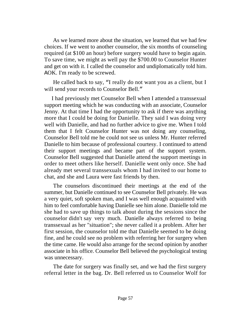As we learned more about the situation, we learned that we had few choices. If we went to another counselor, the six months of counseling required (at \$100 an hour) before surgery would have to begin again. To save time, we might as well pay the \$700.00 to Counselor Hunter and get on with it. I called the counselor and undiplomatically told him. AOK. I'm ready to be screwed.

 He called back to say, "I really do not want you as a client, but I will send your records to Counselor Bell."

I had previously met Counselor Bell when I attended a transsexual support meeting which he was conducting with an associate, Counselor Jenny. At that time I had the opportunity to ask if there was anything more that I could be doing for Danielle. They said I was doing very well with Danielle, and had no further advice to give me. When I told them that I felt Counselor Hunter was not doing any counseling, Counselor Bell told me he could not see us unless Mr. Hunter referred Danielle to him because of professional courtesy. I continued to attend their support meetings and became part of the support system. Counselor Bell suggested that Danielle attend the support meetings in order to meet others like herself. Danielle went only once. She had already met several transsexuals whom I had invited to our home to chat, and she and Laura were fast friends by then.

 The counselors discontinued their meetings at the end of the summer, but Danielle continued to see Counselor Bell privately. He was a very quiet, soft spoken man, and I was well enough acquainted with him to feel comfortable having Danielle see him alone. Danielle told me she had to save up things to talk about during the sessions since the counselor didn't say very much. Danielle always referred to being transsexual as her "situation"; she never called it a problem. After her first session, the counselor told me that Danielle seemed to be doing fine, and he could see no problem with referring her for surgery when the time came. He would also arrange for the second opinion by another associate in his office. Counselor Bell believed the psychological testing was unnecessary.

 The date for surgery was finally set, and we had the first surgery referral letter in the bag. Dr. Bell referred us to Counselor Wolf for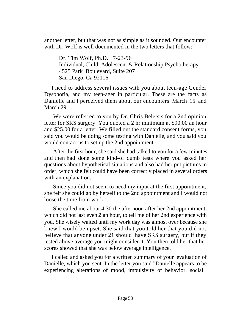another letter, but that was not as simple as it sounded. Our encounter with Dr. Wolf is well documented in the two letters that follow:

Dr. Tim Wolf, Ph.D. 7-23-96 Individual, Child, Adolescent & Relationship Psychotherapy 4525 Park Boulevard, Suite 207 San Diego, Ca 92116

I need to address several issues with you about teen-age Gender Dysphoria, and my teen-ager in particular. These are the facts as Danielle and I perceived them about our encounters March 15 and March 29.

 We were referred to you by Dr. Chris Beletsis for a 2nd opinion letter for SRS surgery. You quoted a 2 hr minimum at \$90.00 an hour and \$25.00 for a letter. We filled out the standard consent forms, you said you would be doing some testing with Danielle, and you said you would contact us to set up the 2nd appointment.

 After the first hour, she said she had talked to you for a few minutes and then had done some kind-of dumb tests where you asked her questions about hypothetical situations and also had her put pictures in order, which she felt could have been correctly placed in several orders with an explanation.

 Since you did not seem to need my input at the first appointment, she felt she could go by herself to the 2nd appointment and I would not loose the time from work.

 She called me about 4:30 the afternoon after her 2nd appointment, which did not last even 2 an hour, to tell me of her 2nd experience with you. She wisely waited until my work day was almost over because she knew I would be upset. She said that you told her that you did not believe that anyone under 21 should have SRS surgery, but if they tested above average you might consider it. You then told her that her scores showed that she was below average intelligence.

I called and asked you for a written summary of your evaluation of Danielle, which you sent. In the letter you said "Danielle appears to be experiencing alterations of mood, impulsivity of behavior, social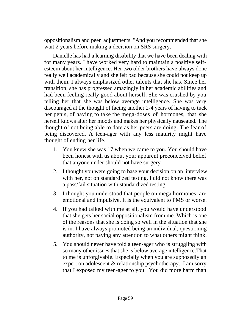oppositionalism and peer adjustments. "And you recommended that she wait 2 years before making a decision on SRS surgery.

 Danielle has had a learning disability that we have been dealing with for many years. I have worked very hard to maintain a positive selfesteem about her intelligence. Her two older brothers have always done really well academically and she felt bad because she could not keep up with them. I always emphasized other talents that she has. Since her transition, she has progressed amazingly in her academic abilities and had been feeling really good about herself. She was crushed by you telling her that she was below average intelligence. She was very discouraged at the thought of facing another 2-4 years of having to tuck her penis, of having to take the mega-doses of hormones, that she herself knows alter her moods and makes her physically nauseated. The thought of not being able to date as her peers are doing. The fear of being discovered. A teen-ager with any less maturity might have thought of ending her life.

- 1. You knew she was 17 when we came to you. You should have been honest with us about your apparent preconceived belief that anyone under should not have surgery
- 2. I thought you were going to base your decision on an interview with her, not on standardized testing. I did not know there was a pass/fail situation with standardized testing.
- 3. I thought you understood that people on mega hormones, are emotional and impulsive. It is the equivalent to PMS or worse.
- 4. If you had talked with me at all, you would have understood that she gets her social oppositionalism from me. Which is one of the reasons that she is doing so well in the situation that she is in. I have always promoted being an individual, questioning authority, not paying any attention to what others might think.
- 5. You should never have told a teen-ager who is struggling with so many other issues that she is below average intelligence. That to me is unforgivable. Especially when you are supposedly an expert on adolescent & relationship psychotherapy. I am sorry that I exposed my teen-ager to you. You did more harm than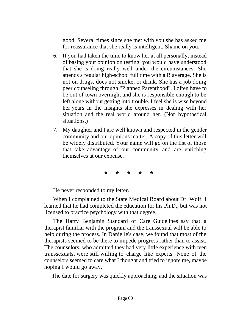good. Several times since she met with you she has asked me for reassurance that she really is intelligent. Shame on you.

- 6. If you had taken the time to know her at all personally, instead of basing your opinion on testing, you would have understood that she is doing really well under the circumstances. She attends a regular high-school full time with a B average. She is not on drugs, does not smoke, or drink. She has a job doing peer counseling through "Planned Parenthood". I often have to be out of town overnight and she is responsible enough to be left alone without getting into trouble. I feel she is wise beyond her years in the insights she expresses in dealing with her situation and the real world around her. (Not hypothetical situations.)
- 7. My daughter and I are well known and respected in the gender community and our opinions matter. A copy of this letter will be widely distributed. Your name will go on the list of those that take advantage of our community and are enriching themselves at our expense.

\* \* \* \* \*

He never responded to my letter.

 When I complained to the State Medical Board about Dr. Wolf, I learned that he had completed the education for his Ph.D., but was not licensed to practice psychology with that degree.

 The Harry Benjamin Standard of Care Guidelines say that a therapist familiar with the program and the transsexual will be able to help during the process. In Danielle's case, we found that most of the therapists seemed to be there to impede progress rather than to assist. The counselors, who admitted they had very little experience with teen transsexuals, were still willing to charge like experts. None of the counselors seemed to care what I thought and tried to ignore me, maybe hoping I would go away.

The date for surgery was quickly approaching, and the situation was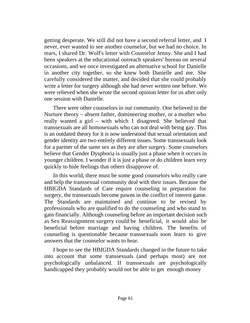getting desperate. We still did not have a second referral letter, and I never, ever wanted to see another counselor, but we had no choice. In tears, I shared Dr. Wolf's letter with Counselor Jenny. She and I had been speakers at the educational outreach speakers' bureau on several occasions, and we once investigated an alternative school for Danielle in another city together, so she knew both Danielle and me. She carefully considered the matter, and decided that she could probably write a letter for surgery although she had never written one before. We were relieved when she wrote the second opinion letter for us after only one session with Danielle.

 There were other counselors in our community. One believed in the Nurture theory – absent father, domineering mother, or a mother who really wanted a girl – with which I disagreed. She believed that transsexuals are all homosexuals who can not deal with being gay. This is an outdated theory for it is now understood that sexual orientation and gender identity are two entirely different issues. Some transsexuals look for a partner of the same sex as they are after surgery. Some counselors believe that Gender Dysphoria is usually just a phase when it occurs in younger children. I wonder if it is just a phase or do children learn very quickly to hide feelings that others disapprove of.

 In this world, there must be some good counselors who really care and help the transsexual community deal with their issues. Because the HBIGDA Standards of Care require counseling in preparation for surgery, the transsexuals become pawns in the conflict of interest game. The Standards are maintained and continue to be revised by professionals who are qualified to do the counseling and who stand to gain financially. Although counseling before an important decision such as Sex Reassignment surgery could be beneficial, it would also be beneficial before marriage and having children. The benefits of counseling is questionable because transsexuals soon learn to give answers that the counselor wants to hear.

 I hope to see the HBIGDA Standards changed in the future to take into account that some transsexuals (and perhaps most) are not psychologically unbalanced. If transsexuals are psychologically handicapped they probably would not be able to get enough money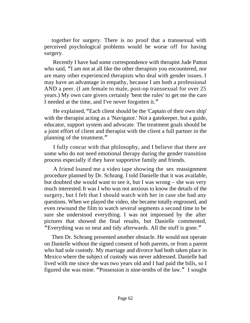together for surgery. There is no proof that a transsexual with perceived psychological problems would be worse off for having surgery.

 Recently I have had some correspondence with therapist Jude Patton who said, "I am not at all like the other therapists you encountered, nor are many other experienced therapists who deal with gender issues. I may have an advantage in empathy, because I am both a professional AND a peer. (I am female to male, post-op transsexual for over 25 years.) My own care givers certainly 'bent the rules' to get me the care I needed at the time, and I've never forgotten it."

 He explained, "Each client should be the 'Captain of their own ship' with the therapist acting as a 'Navigator.' Not a gatekeeper, but a guide, educator, support system and advocate. The treatment goals should be a joint effort of client and therapist with the client a full partner in the planning of the treatment."

 I fully concur with that philosophy, and I believe that there are some who do not need emotional therapy during the gender transition process especially if they have supportive family and friends.

 A friend loaned me a video tape showing the sex reassignment procedure planned by Dr. Schrang. I told Danielle that it was available, but doubted she would want to see it, but I was wrong – she was very much interested. It was I who was not anxious to know the details of the surgery, but I felt that I should watch with her in case she had any questions. When we played the video, she became totally engrossed, and even rewound the film to watch several segments a second time to be sure she understood everything. I was not impressed by the after pictures that showed the final results, but Danielle commented, "Everything was so neat and tidy afterwards. All the stuff is gone."

Then Dr. Schrang presented another obstacle. He would not operate on Danielle without the signed consent of both parents, or from a parent who had sole custody. My marriage and divorce had both taken place in Mexico where the subject of custody was never addressed. Danielle had lived with me since she was two years old and I had paid the bills, so I figured she was mine. "Possession is nine-tenths of the law." I sought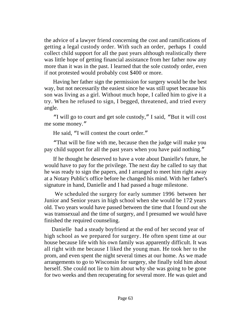the advice of a lawyer friend concerning the cost and ramifications of getting a legal custody order. With such an order, perhaps I could collect child support for all the past years although realistically there was little hope of getting financial assistance from her father now any more than it was in the past. I learned that the sole custody order, even if not protested would probably cost \$400 or more.

 Having her father sign the permission for surgery would be the best way, but not necessarily the easiest since he was still upset because his son was living as a girl. Without much hope, I called him to give it a try. When he refused to sign, I begged, threatened, and tried every angle.

"I will go to court and get sole custody," I said, "But it will cost me some money."

He said, "I will contest the court order."

"That will be fine with me, because then the judge will make you pay child support for all the past years when you have paid nothing."

 If he thought he deserved to have a vote about Danielle's future, he would have to pay for the privilege. The next day he called to say that he was ready to sign the papers, and I arranged to meet him right away at a Notary Public's office before he changed his mind. With her father's signature in hand, Danielle and I had passed a huge milestone.

 We scheduled the surgery for early summer 1996 between her Junior and Senior years in high school when she would be 172 years old. Two years would have passed between the time that I found out she was transsexual and the time of surgery, and I presumed we would have finished the required counseling.

Danielle had a steady boyfriend at the end of her second year of high school as we prepared for surgery. He often spent time at our house because life with his own family was apparently difficult. It was all right with me because I liked the young man. He took her to the prom, and even spent the night several times at our home. As we made arrangements to go to Wisconsin for surgery, she finally told him about herself. She could not lie to him about why she was going to be gone for two weeks and then recuperating for several more. He was quiet and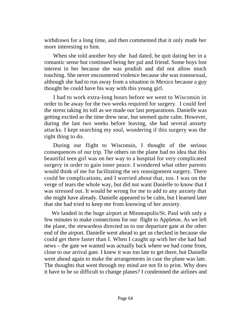withdrawn for a long time, and then commented that it only made her more interesting to him.

 When she told another boy she had dated, he quit dating her in a romantic sense but continued being her pal and friend. Some boys lost interest in her because she was prudish and did not allow much touching. She never encountered violence because she was transsexual, although she had to run away from a situation in Mexico because a guy thought he could have his way with this young girl.

 I had to work extra-long hours before we went to Wisconsin in order to be away for the two weeks required for surgery. I could feel the stress taking its toll as we made our last preparations. Danielle was getting excited as the time drew near, but seemed quite calm. However, during the last two weeks before leaving, she had several anxiety attacks. I kept searching my soul, wondering if this surgery was the right thing to do.

 During our flight to Wisconsin, I thought of the serious consequences of our trip. The others on the plane had no idea that this beautiful teen girl was on her way to a hospital for very complicated surgery in order to gain inner peace. I wondered what other parents would think of me for facilitating the sex reassignment surgery. There could be complications, and I worried about that, too. I was on the verge of tears the whole way, but did not want Danielle to know that I was stressed out. It would be wrong for me to add to any anxiety that she might have already. Danielle appeared to be calm, but I learned later that she had tried to keep me from knowing of her anxiety.

We landed in the huge airport at Minneapolis/St. Paul with only a few minutes to make connections for our flight to Appleton. As we left the plane, the stewardess directed us to our departure gate at the other end of the airport. Danielle went ahead to get us checked in because she could get there faster than I. When I caught up with her she had bad news – the gate we wanted was actually back where we had come from, close to our arrival gate. I knew it was too late to get there, but Danielle went ahead again to make the arrangements in case the plane was late. The thoughts that went through my mind are not fit to print. Why does it have to be so difficult to change planes? I condemned the airlines and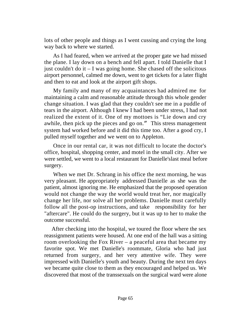lots of other people and things as I went cussing and crying the long way back to where we started.

 As I had feared, when we arrived at the proper gate we had missed the plane. I lay down on a bench and fell apart. I told Danielle that I just couldn't do it – I was going home. She chased off the solicitous airport personnel, calmed me down, went to get tickets for a later flight and then to eat and look at the airport gift shops.

 My family and many of my acquaintances had admired me for maintaining a calm and reasonable attitude through this whole gender change situation. I was glad that they couldn't see me in a puddle of tears in the airport. Although I knew I had been under stress, I had not realized the extent of it. One of my mottoes is "Lie down and cry awhile, then pick up the pieces and go on." This stress management system had worked before and it did this time too. After a good cry, I pulled myself together and we went on to Appleton.

 Once in our rental car, it was not difficult to locate the doctor's office, hospital, shopping center, and motel in the small city. After we were settled, we went to a local restaurant for Danielle's last meal before surgery.

 When we met Dr. Schrang in his office the next morning, he was very pleasant. He appropriately addressed Danielle as she was the patient, almost ignoring me. He emphasized that the proposed operation would not change the way the world would treat her, nor magically change her life, nor solve all her problems. Danielle must carefully follow all the post-op instructions, and take responsibility for her "aftercare". He could do the surgery, but it was up to her to make the outcome successful.

After checking into the hospital, we toured the floor where the sex reassignment patients were housed. At one end of the hall was a sitting room overlooking the Fox River – a peaceful area that became my favorite spot. We met Danielle's roommate, Gloria who had just returned from surgery, and her very attentive wife. They were impressed with Danielle's youth and beauty. During the next ten days we became quite close to them as they encouraged and helped us. We discovered that most of the transsexuals on the surgical ward were alone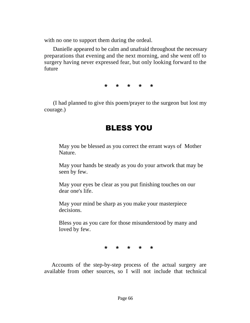with no one to support them during the ordeal.

 Danielle appeared to be calm and unafraid throughout the necessary preparations that evening and the next morning, and she went off to surgery having never expressed fear, but only looking forward to the future

\* \* \* \* \*

 (I had planned to give this poem/prayer to the surgeon but lost my courage.)

### BLESS YOU

May you be blessed as you correct the errant ways of Mother Nature.

May your hands be steady as you do your artwork that may be seen by few.

May your eyes be clear as you put finishing touches on our dear one's life.

May your mind be sharp as you make your masterpiece decisions.

Bless you as you care for those misunderstood by many and loved by few.

\* \* \* \* \*

Accounts of the step-by-step process of the actual surgery are available from other sources, so I will not include that technical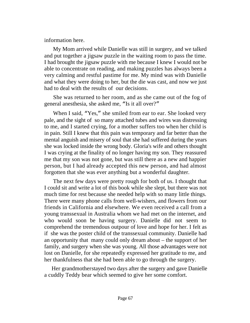information here.

 My Mom arrived while Danielle was still in surgery, and we talked and put together a jigsaw puzzle in the waiting room to pass the time. I had brought the jigsaw puzzle with me because I knew I would not be able to concentrate on reading, and making puzzles has always been a very calming and restful pastime for me. My mind was with Danielle and what they were doing to her, but the die was cast, and now we just had to deal with the results of our decisions.

 She was returned to her room, and as she came out of the fog of general anesthesia, she asked me, "Is it all over?"

 When I said, "Yes," she smiled from ear to ear. She looked very pale, and the sight of so many attached tubes and wires was distressing to me, and I started crying, for a mother suffers too when her child is in pain. Still I knew that this pain was temporary and far better than the mental anguish and misery of soul that she had suffered during the years she was locked inside the wrong body. Gloria's wife and others thought I was crying at the finality of no longer having my son. They reassured me that my son was not gone, but was still there as a new and happier person, but I had already accepted this new person, and had almost forgotten that she was ever anything but a wonderful daughter.

 The next few days were pretty rough for both of us. I thought that I could sit and write a lot of this book while she slept, but there was not much time for rest because she needed help with so many little things. There were many phone calls from well-wishers, and flowers from our friends in California and elsewhere. We even received a call from a young transsexual in Australia whom we had met on the internet, and who would soon be having surgery. Danielle did not seem to comprehend the tremendous outpour of love and hope for her. I felt as if she was the poster child of the transsexual community. Danielle had an opportunity that many could only dream about – the support of her family, and surgery when she was young. All those advantages were not lost on Danielle, for she repeatedly expressed her gratitude to me, and her thankfulness that she had been able to go through the surgery.

Her grandmother stayed two days after the surgery and gave Danielle a cuddly Teddy bear which seemed to give her some comfort.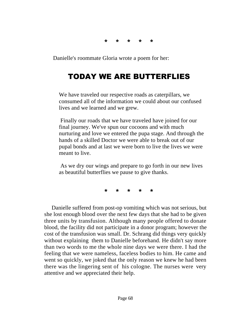

Danielle's roommate Gloria wrote a poem for her:

# TODAY WE ARE BUTTERFLIES

We have traveled our respective roads as caterpillars, we consumed all of the information we could about our confused lives and we learned and we grew.

 Finally our roads that we have traveled have joined for our final journey. We've spun our cocoons and with much nurturing and love we entered the pupa stage. And through the hands of a skilled Doctor we were able to break out of our pupal bonds and at last we were born to live the lives we were meant to live.

 As we dry our wings and prepare to go forth in our new lives as beautiful butterflies we pause to give thanks.

\* \* \* \* \*

Danielle suffered from post-op vomiting which was not serious, but she lost enough blood over the next few days that she had to be given three units by transfusion. Although many people offered to donate blood, the facility did not participate in a donor program; however the cost of the transfusion was small. Dr. Schrang did things very quickly without explaining them to Danielle beforehand. He didn't say more than two words to me the whole nine days we were there. I had the feeling that we were nameless, faceless bodies to him. He came and went so quickly, we joked that the only reason we knew he had been there was the lingering sent of his cologne. The nurses were very attentive and we appreciated their help.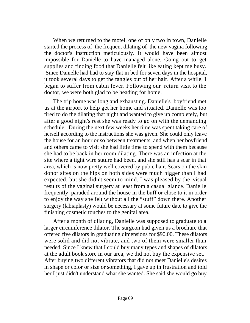When we returned to the motel, one of only two in town, Danielle started the process of the frequent dilating of the new vagina following the doctor's instruction meticulously. It would have been almost impossible for Danielle to have managed alone. Going out to get supplies and finding food that Danielle felt like eating kept me busy. Since Danielle had had to stay flat in bed for seven days in the hospital, it took several days to get the tangles out of her hair. After a while, I began to suffer from cabin fever. Following our return visit to the doctor, we were both glad to be heading for home.

 The trip home was long and exhausting. Danielle's boyfriend met us at the airport to help get her home and situated. Danielle was too tired to do the dilating that night and wanted to give up completely, but after a good night's rest she was ready to go on with the demanding schedule. During the next few weeks her time was spent taking care of herself according to the instructions she was given. She could only leave the house for an hour or so between treatments, and when her boyfriend and others came to visit she had little time to spend with them because she had to be back in her room dilating. There was an infection at the site where a tight wire suture had been, and she still has a scar in that area, which is now pretty well covered by pubic hair. Scars on the skin donor sites on the hips on both sides were much bigger than I had expected, but she didn't seem to mind. I was pleased by the visual results of the vaginal surgery at least from a casual glance. Danielle frequently paraded around the house in the buff or close to it in order to enjoy the way she felt without all the "stuff" down there. Another surgery (labiaplasty) would be necessary at some future date to give the finishing cosmetic touches to the genital area.

 After a month of dilating, Danielle was supposed to graduate to a larger circumference dilator. The surgeon had given us a brochure that offered five dilators in graduating dimensions for \$90.00. These dilators were solid and did not vibrate, and two of them were smaller than needed. Since I knew that I could buy many types and shapes of dilators at the adult book store in our area, we did not buy the expensive set. After buying two different vibrators that did not meet Danielle's desires in shape or color or size or something, I gave up in frustration and told her I just didn't understand what she wanted. She said she would go buy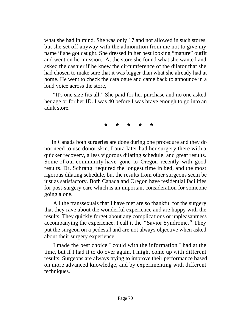what she had in mind. She was only 17 and not allowed in such stores, but she set off anyway with the admonition from me not to give my name if she got caught. She dressed in her best looking "mature" outfit and went on her mission. At the store she found what she wanted and asked the cashier if he knew the circumference of the dilator that she had chosen to make sure that it was bigger than what she already had at home. He went to check the catalogue and came back to announce in a loud voice across the store,

 "It's one size fits all." She paid for her purchase and no one asked her age or for her ID. I was 40 before I was brave enough to go into an adult store.

\* \* \* \* \*

In Canada both surgeries are done during one procedure and they do not need to use donor skin. Laura later had her surgery there with a quicker recovery, a less vigorous dilating schedule, and great results. Some of our community have gone to Oregon recently with good results. Dr. Schrang required the longest time in bed, and the most rigorous dilating schedule, but the results from other surgeons seem be just as satisfactory. Both Canada and Oregon have residential facilities for post-surgery care which is an important consideration for someone going alone.

 All the transsexuals that I have met are so thankful for the surgery that they rave about the wonderful experience and are happy with the results. They quickly forget about any complications or unpleasantness accompanying the experience. I call it the "Savior Syndrome." They put the surgeon on a pedestal and are not always objective when asked about their surgery experience.

 I made the best choice I could with the information I had at the time, but if I had it to do over again, I might come up with different results. Surgeons are always trying to improve their performance based on more advanced knowledge, and by experimenting with different techniques.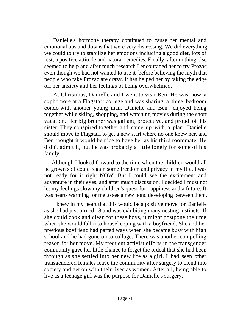Danielle's hormone therapy continued to cause her mental and emotional ups and downs that were very distressing. We did everything we could to try to stabilize her emotions including a good diet, lots of rest, a positive attitude and natural remedies. Finally, after nothing else seemed to help and after much research I encouraged her to try Prozac even though we had not wanted to use it before believing the myth that people who take Prozac are crazy. It has helped her by taking the edge off her anxiety and her feelings of being overwhelmed.

 At Christmas, Danielle and I went to visit Ben. He was now a sophomore at a Flagstaff college and was sharing a three bedroom condo with another young man. Danielle and Ben enjoyed being together while skiing, shopping, and watching movies during the short vacation. Her big brother was gallant, protective, and proud of his sister. They conspired together and came up with a plan. Danielle should move to Flagstaff to get a new start where no one knew her, and Ben thought it would be nice to have her as his third roommate. He didn't admit it, but he was probably a little lonely for some of his family.

Although I looked forward to the time when the children would all be grown so I could regain some freedom and privacy in my life, I was not ready for it right NOW. But I could see the excitement and adventure in their eyes, and after much discussion, I decided I must not let my feelings slow my children's quest for happiness and a future. It was heart- warming for me to see a new bond developing between them.

 I knew in my heart that this would be a positive move for Danielle as she had just turned 18 and was exhibiting many nesting instincts. If she could cook and clean for these boys, it might postpone the time when she would fall into housekeeping with a boyfriend. She and her previous boyfriend had parted ways when she became busy with high school and he had gone on to collage. There was another compelling reason for her move. My frequent activist efforts in the transgender community gave her little chance to forget the ordeal that she had been through as she settled into her new life as a girl. I had seen other transgendered females leave the community after surgery to blend into society and get on with their lives as women. After all, being able to live as a teenage girl was the purpose for Danielle's surgery.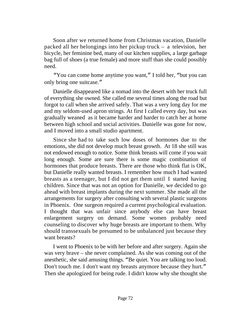Soon after we returned home from Christmas vacation, Danielle packed all her belongings into her pickup truck – a television, her bicycle, her feminine bed, many of our kitchen supplies, a large garbage bag full of shoes (a true female) and more stuff than she could possibly need.

"You can come home anytime you want," I told her, "but you can only bring one suitcase."

 Danielle disappeared like a nomad into the desert with her truck full of everything she owned. She called me several times along the road but forgot to call when she arrived safely. That was a very long day for me and my seldom-used apron strings. At first I called every day, but was gradually weaned as it became harder and harder to catch her at home between high school and social activities. Danielle was gone for now, and I moved into a small studio apartment.

 Since she had to take such low doses of hormones due to the emotions, she did not develop much breast growth. At 18 she still was not endowed enough to notice. Some think breasts will come if you wait long enough. Some are sure there is some magic combination of hormones that produce breasts. There are those who think flat is OK, but Danielle really wanted breasts. I remember how much I had wanted breasts as a teenager, but I did not get them until I started having children. Since that was not an option for Danielle, we decided to go ahead with breast implants during the next summer. She made all the arrangements for surgery after consulting with several plastic surgeons in Phoenix. One surgeon required a current psychological evaluation. I thought that was unfair since anybody else can have breast enlargement surgery on demand. Some women probably need counseling to discover why huge breasts are important to them. Why should transsexuals be presumed to be unbalanced just because they want breasts?

 I went to Phoenix to be with her before and after surgery. Again she was very brave – she never complained. As she was coming out of the anesthetic, she said amusing things. "Be quiet. You are talking too loud. Don't touch me. I don't want my breasts anymore because they hurt." Then she apologized for being rude. I didn't know why she thought she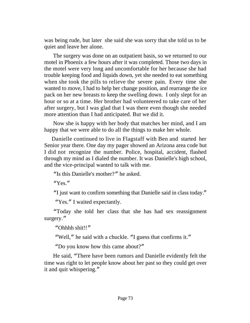was being rude, but later she said she was sorry that she told us to be quiet and leave her alone.

 The surgery was done on an outpatient basis, so we returned to our motel in Phoenix a few hours after it was completed. Those two days in the motel were very long and uncomfortable for her because she had trouble keeping food and liquids down, yet she needed to eat something when she took the pills to relieve the severe pain. Every time she wanted to move, I had to help her change position, and rearrange the ice pack on her new breasts to keep the swelling down. I only slept for an hour or so at a time. Her brother had volunteered to take care of her after surgery, but I was glad that I was there even though she needed more attention than I had anticipated. But we did it.

 Now she is happy with her body that matches her mind, and I am happy that we were able to do all the things to make her whole.

Danielle continued to live in Flagstaff with Ben and started her Senior year there. One day my pager showed an Arizona area code but I did not recognize the number. Police, hospital, accident, flashed through my mind as I dialed the number. It was Danielle's high school, and the vice-principal wanted to talk with me.

"Is this Danielle's mother?" he asked.

"Yes."

"I just want to confirm something that Danielle said in class today."

"Yes." I waited expectantly.

"Today she told her class that she has had sex reassignment surgery."

"Ohhhh shit!!"

"Well," he said with a chuckle. "I guess that confirms it."

"Do you know how this came about?"

 He said, "There have been rumors and Danielle evidently felt the time was right to let people know about her past so they could get over it and quit whispering."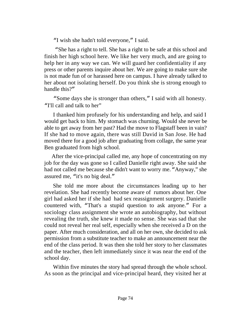"I wish she hadn't told everyone," I said.

 "She has a right to tell. She has a right to be safe at this school and finish her high school here. We like her very much, and are going to help her in any way we can. We will guard her confidentiality if any press or other parents inquire about her. We are going to make sure she is not made fun of or harassed here on campus. I have already talked to her about not isolating herself. Do you think she is strong enough to handle this?"

"Some days she is stronger than others," I said with all honesty. "I'll call and talk to her"

 I thanked him profusely for his understanding and help, and said I would get back to him. My stomach was churning. Would she never be able to get away from her past? Had the move to Flagstaff been in vain? If she had to move again, there was still David in San Jose. He had moved there for a good job after graduating from collage, the same year Ben graduated from high school.

After the vice-principal called me, any hope of concentrating on my job for the day was gone so I called Danielle right away. She said she had not called me because she didn't want to worry me. "Anyway," she assured me, "it's no big deal."

 She told me more about the circumstances leading up to her revelation. She had recently become aware of rumors about her. One girl had asked her if she had had sex reassignment surgery. Danielle countered with, "That's a stupid question to ask anyone." For a sociology class assignment she wrote an autobiography, but without revealing the truth, she knew it made no sense. She was sad that she could not reveal her real self, especially when she received a D on the paper. After much consideration, and all on her own, she decided to ask permission from a substitute teacher to make an announcement near the end of the class period. It was then she told her story to her classmates and the teacher, then left immediately since it was near the end of the school day.

 Within five minutes the story had spread through the whole school. As soon as the principal and vice-principal heard, they visited her at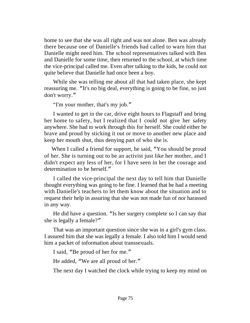home to see that she was all right and was not alone. Ben was already there because one of Danielle's friends had called to warn him that Danielle might need him. The school representatives talked with Ben and Danielle for some time, then returned to the school, at which time the vice-principal called me. Even after talking to the kids, he could not quite believe that Danielle had once been a boy.

 While she was telling me about all that had taken place, she kept reassuring me. "It's no big deal, everything is going to be fine, so just don't worry."

"I'm your mother, that's my job."

 I wanted to get in the car, drive eight hours to Flagstaff and bring her home to safety, but I realized that I could not give her safety anywhere. She had to work through this for herself. She could either be brave and proud by sticking it out or move to another new place and keep her mouth shut, thus denying part of who she is.

When I called a friend for support, he said, "You should be proud of her. She is turning out to be an activist just like her mother, and I didn't expect any less of her, for I have seen in her the courage and determination to be herself."

 I called the vice-principal the next day to tell him that Danielle thought everything was going to be fine. I learned that he had a meeting with Danielle's teachers to let them know about the situation and to request their help in assuring that she was not made fun of nor harassed in any way.

 He did have a question. "Is her surgery complete so I can say that she is legally a female?"

 That was an important question since she was in a girl's gym class. I assured him that she was legally a female. I also told him I would send him a packet of information about transsexuals.

I said, "Be proud of her for me."

He added, "We are all proud of her."

The next day I watched the clock while trying to keep my mind on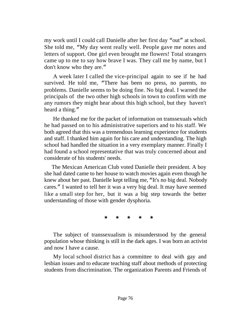my work until I could call Danielle after her first day "out" at school. She told me, "My day went really well. People gave me notes and letters of support. One girl even brought me flowers! Total strangers came up to me to say how brave I was. They call me by name, but I don't know who they are."

 A week later I called the vice-principal again to see if he had survived. He told me, "There has been no press, no parents, no problems. Danielle seems to be doing fine. No big deal. I warned the principals of the two other high schools in town to confirm with me any rumors they might hear about this high school, but they haven't heard a thing."

 He thanked me for the packet of information on transsexuals which he had passed on to his administrative superiors and to his staff. We both agreed that this was a tremendous learning experience for students and staff. I thanked him again for his care and understanding. The high school had handled the situation in a very exemplary manner. Finally I had found a school representative that was truly concerned about and considerate of his students' needs.

The Mexican American Club voted Danielle their president. A boy she had dated came to her house to watch movies again even though he knew about her past. Danielle kept telling me, "It's no big deal. Nobody cares." I wanted to tell her it was a very big deal. It may have seemed like a small step for her, but it was a big step towards the better understanding of those with gender dysphoria.

\* \* \* \* \*

 The subject of transsexualism is misunderstood by the general population whose thinking is still in the dark ages. I was born an activist and now I have a cause.

 My local school district has a committee to deal with gay and lesbian issues and to educate teaching staff about methods of protecting students from discrimination. The organization Parents and Friends of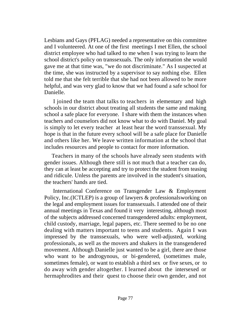Lesbians and Gays (PFLAG) needed a representative on this committee and I volunteered. At one of the first meetings I met Ellen, the school district employee who had talked to me when I was trying to learn the school district's policy on transsexuals. The only information she would gave me at that time was, "we do not discriminate." As I suspected at the time, she was instructed by a supervisor to say nothing else. Ellen told me that she felt terrible that she had not been allowed to be more helpful, and was very glad to know that we had found a safe school for Danielle.

 I joined the team that talks to teachers in elementary and high schools in our district about treating all students the same and making school a safe place for everyone. I share with them the instances when teachers and counselors did not know what to do with Daniel. My goal is simply to let every teacher at least hear the word transsexual. My hope is that in the future every school will be a safe place for Danielle and others like her. We leave written information at the school that includes resources and people to contact for more information.

Teachers in many of the schools have already seen students with gender issues. Although there still is not much that a teacher can do, they can at least be accepting and try to protect the student from teasing and ridicule. Unless the parents are involved in the student's situation, the teachers' hands are tied.

 International Conference on Transgender Law & Employment Policy, Inc.(ICTLEP) is a group of lawyers & professionals working on the legal and employment issues for transsexuals. I attended one of their annual meetings in Texas and found it very interesting, although most of the subjects addressed concerned transgendered adults: employment, child custody, marriage, legal papers, etc. There seemed to be no one dealing with matters important to teens and students. Again I was impressed by the transsexuals, who were well-adjusted, working professionals, as well as the movers and shakers in the transgendered movement. Although Danielle just wanted to be a girl, there are those who want to be androgynous, or bi-gendered, (sometimes male, sometimes female), or want to establish a third sex or five sexes, or to do away with gender altogether. I learned about the intersexed or hermaphrodites and their quest to choose their own gender, and not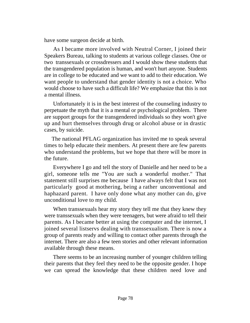have some surgeon decide at birth.

 As I became more involved with Neutral Corner, I joined their Speakers Bureau, talking to students at various college classes. One or two transsexuals or crossdressers and I would show these students that the transgendered population is human, and won't hurt anyone. Students are in college to be educated and we want to add to their education. We want people to understand that gender identity is not a choice. Who would choose to have such a difficult life? We emphasize that this is not a mental illness.

 Unfortunately it is in the best interest of the counseling industry to perpetuate the myth that it is a mental or psychological problem. There are support groups for the transgendered individuals so they won't give up and hurt themselves through drug or alcohol abuse or in drastic cases, by suicide.

The national PFLAG organization has invited me to speak several times to help educate their members. At present there are few parents who understand the problems, but we hope that there will be more in the future.

 Everywhere I go and tell the story of Danielle and her need to be a girl, someone tells me "You are such a wonderful mother." That statement still surprises me because I have always felt that I was not particularly good at mothering, being a rather unconventional and haphazard parent. I have only done what any mother can do, give unconditional love to my child.

 When transsexuals hear my story they tell me that they knew they were transsexuals when they were teenagers, but were afraid to tell their parents. As I became better at using the computer and the internet, I joined several listservs dealing with transsexualism. There is now a group of parents ready and willing to contact other parents through the internet. There are also a few teen stories and other relevant information available through these means.

 There seems to be an increasing number of younger children telling their parents that they feel they need to be the opposite gender. I hope we can spread the knowledge that these children need love and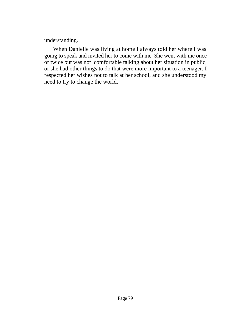understanding.

 When Danielle was living at home I always told her where I was going to speak and invited her to come with me. She went with me once or twice but was not comfortable talking about her situation in public, or she had other things to do that were more important to a teenager. I respected her wishes not to talk at her school, and she understood my need to try to change the world.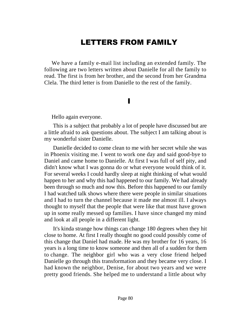#### LETTERS FROM FAMILY

We have a family e-mail list including an extended family. The following are two letters written about Danielle for all the family to read. The first is from her brother, and the second from her Grandma Clela. The third letter is from Danielle to the rest of the family.

#### I

Hello again everyone.

 This is a subject that probably a lot of people have discussed but are a little afraid to ask questions about. The subject I am talking about is my wonderful sister Danielle.

 Danielle decided to come clean to me with her secret while she was in Phoenix visiting me. I went to work one day and said good-bye to Daniel and came home to Danielle. At first I was full of self pity, and didn't know what I was gonna do or what everyone would think of it. For several weeks I could hardly sleep at night thinking of what would happen to her and why this had happened to our family. We had already been through so much and now this. Before this happened to our family I had watched talk shows where there were people in similar situations and I had to turn the channel because it made me almost ill. I always thought to myself that the people that were like that must have grown up in some really messed up families. I have since changed my mind and look at all people in a different light.

 It's kinda strange how things can change 180 degrees when they hit close to home. At first I really thought no good could possibly come of this change that Daniel had made. He was my brother for 16 years, 16 years is a long time to know someone and then all of a sudden for them to change. The neighbor girl who was a very close friend helped Danielle go through this transformation and they became very close. I had known the neighbor, Denise, for about two years and we were pretty good friends. She helped me to understand a little about why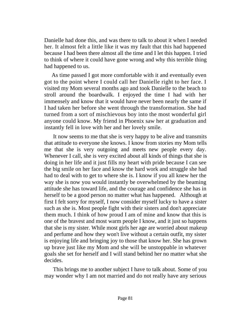Danielle had done this, and was there to talk to about it when I needed her. It almost felt a little like it was my fault that this had happened because I had been there almost all the time and I let this happen. I tried to think of where it could have gone wrong and why this terrible thing had happened to us.

As time passed I got more comfortable with it and eventually even got to the point where I could call her Danielle right to her face. I visited my Mom several months ago and took Danielle to the beach to stroll around the boardwalk. I enjoyed the time I had with her immensely and know that it would have never been nearly the same if I had taken her before she went through the transformation. She had turned from a sort of mischievous boy into the most wonderful girl anyone could know. My friend in Phoenix saw her at graduation and instantly fell in love with her and her lovely smile.

 It now seems to me that she is very happy to be alive and transmits that attitude to everyone she knows. I know from stories my Mom tells me that she is very outgoing and meets new people every day. Whenever I call, she is very excited about all kinds of things that she is doing in her life and it just fills my heart with pride because I can see the big smile on her face and know the hard work and struggle she had had to deal with to get to where she is. I know if you all knew her the way she is now you would instantly be overwhelmed by the beaming attitude she has toward life, and the courage and confidence she has in herself to be a good person no matter what has happened. Although at first I felt sorry for myself, I now consider myself lucky to have a sister such as she is. Most people fight with their sisters and don't appreciate them much. I think of how proud I am of mine and know that this is one of the bravest and most warm people I know, and it just so happens that she is my sister. While most girls her age are worried about makeup and perfume and how they won't live without a certain outfit, my sister is enjoying life and bringing joy to those that know her. She has grown up brave just like my Mom and she will be unstoppable in whatever goals she set for herself and I will stand behind her no matter what she decides.

 This brings me to another subject I have to talk about. Some of you may wonder why I am not married and do not really have any serious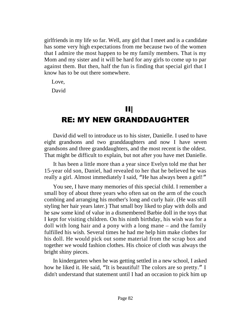girlfriends in my life so far. Well, any girl that I meet and is a candidate has some very high expectations from me because two of the women that I admire the most happen to be my family members. That is my Mom and my sister and it will be hard for any girls to come up to par against them. But then, half the fun is finding that special girl that I know has to be out there somewhere.

Love,

David

# II| RE: MY NEW GRANDDAUGHTER

 David did well to introduce us to his sister, Danielle. I used to have eight grandsons and two granddaughters and now I have seven grandsons and three granddaughters, and the most recent is the oldest. That might be difficult to explain, but not after you have met Danielle.

 It has been a little more than a year since Evelyn told me that her 15-year old son, Daniel, had revealed to her that he believed he was really a girl. Almost immediately I said, "He has always been a girl!"

 You see, I have many memories of this special child. I remember a small boy of about three years who often sat on the arm of the couch combing and arranging his mother's long and curly hair. (He was still styling her hair years later.) That small boy liked to play with dolls and he saw some kind of value in a dismembered Barbie doll in the toys that I kept for visiting children. On his ninth birthday, his wish was for a doll with long hair and a pony with a long mane – and the family fulfilled his wish. Several times he had me help him make clothes for his doll. He would pick out some material from the scrap box and together we would fashion clothes. His choice of cloth was always the bright shiny pieces.

 In kindergarten when he was getting settled in a new school, I asked how he liked it. He said, "It is beautiful! The colors are so pretty." I didn't understand that statement until I had an occasion to pick him up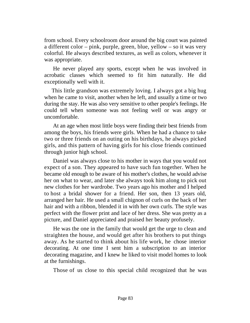from school. Every schoolroom door around the big court was painted a different color – pink, purple, green, blue, yellow – so it was very colorful. He always described textures, as well as colors, whenever it was appropriate.

 He never played any sports, except when he was involved in acrobatic classes which seemed to fit him naturally. He did exceptionally well with it.

This little grandson was extremely loving. I always got a big hug when he came to visit, another when he left, and usually a time or two during the stay. He was also very sensitive to other people's feelings. He could tell when someone was not feeling well or was angry or uncomfortable.

 At an age when most little boys were finding their best friends from among the boys, his friends were girls. When he had a chance to take two or three friends on an outing on his birthdays, he always picked girls, and this pattern of having girls for his close friends continued through junior high school.

 Daniel was always close to his mother in ways that you would not expect of a son. They appeared to have such fun together. When he became old enough to be aware of his mother's clothes, he would advise her on what to wear, and later she always took him along to pick out new clothes for her wardrobe. Two years ago his mother and I helped to host a bridal shower for a friend. Her son, then 13 years old, arranged her hair. He used a small chignon of curls on the back of her hair and with a ribbon, blended it in with her own curls. The style was perfect with the flower print and lace of her dress. She was pretty as a picture, and Daniel appreciated and praised her beauty profusely.

 He was the one in the family that would get the urge to clean and straighten the house, and would get after his brothers to put things away. As he started to think about his life work, he chose interior decorating. At one time I sent him a subscription to an interior decorating magazine, and I knew he liked to visit model homes to look at the furnishings.

Those of us close to this special child recognized that he was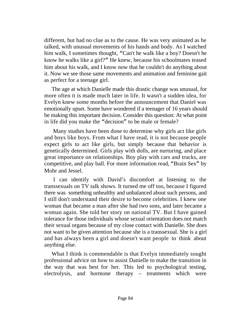different, but had no clue as to the cause. He was very animated as he talked, with unusual movements of his hands and body. As I watched him walk, I sometimes thought, "Can't he walk like a boy? Doesn't he know he walks like a girl?" He knew, because his schoolmates teased him about his walk, and I know now that he couldn't do anything about it. Now we see those same movements and animation and feminine gait as perfect for a teenage girl.

The age at which Danielle made this drastic change was unusual, for more often it is made much later in life. It wasn't a sudden idea, for Evelyn knew some months before the announcement that Daniel was emotionally upset. Some have wondered if a teenager of 16 years should be making this important decision. Consider this question: At what point in life did you make the "decision" to be male or female?

 Many studies have been done to determine why girls act like girls and boys like boys. From what I have read, it is not because people expect girls to act like girls, but simply because that behavior is genetically determined. Girls play with dolls, are nurturing, and place great importance on relationships. Boy play with cars and trucks, are competitive, and play ball. For more information read, "Brain Sex" by Mohr and Jessel.

 I can identify with David's discomfort at listening to the transsexuals on TV talk shows. It turned me off too, because I figured there was something unhealthy and unbalanced about such persons, and I still don't understand their desire to become celebrities. I knew one woman that became a man after she had two sons, and later became a woman again. She told her story on national TV. But I have gained tolerance for those individuals whose sexual orientation does not match their sexual organs because of my close contact with Danielle. She does not want to be given attention because she is a transsexual. She is a girl and has always been a girl and doesn't want people to think about anything else.

What I think is commendable is that Evelyn immediately sought professional advice on how to assist Danielle to make the transition in the way that was best for her. This led to psychological testing, electrolysis, and hormone therapy – treatments which were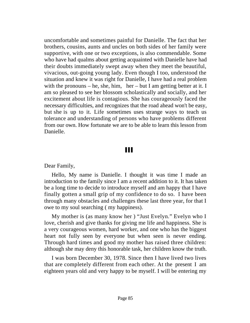uncomfortable and sometimes painful for Danielle. The fact that her brothers, cousins, aunts and uncles on both sides of her family were supportive, with one or two exceptions, is also commendable. Some who have had qualms about getting acquainted with Danielle have had their doubts immediately swept away when they meet the beautiful, vivacious, out-going young lady. Even though I too, understood the situation and knew it was right for Danielle, I have had a real problem with the pronouns – he, she, him, her – but I am getting better at it. I am so pleased to see her blossom scholastically and socially, and her excitement about life is contagious. She has courageously faced the necessary difficulties, and recognizes that the road ahead won't be easy, but she is up to it. Life sometimes uses strange ways to teach us tolerance and understanding of persons who have problems different from our own. How fortunate we are to be able to learn this lesson from Danielle.

#### III

Dear Family,

Hello, My name is Danielle. I thought it was time I made an introduction to the family since I am a recent addition to it. It has taken be a long time to decide to introduce myself and am happy that I have finally gotten a small grip of my confidence to do so. I have been through many obstacles and challenges these last three year, for that I owe to my soul searching ( my happiness).

My mother is (as many know her ) "Just Evelyn." Evelyn who I love, cherish and give thanks for giving me life and happiness. She is a very courageous women, hard worker, and one who has the biggest heart not fully seen by everyone but when seen is never ending. Through hard times and good my mother has raised three children: although she may deny this honorable task, her children know the truth.

I was born December 30, 1978. Since then I have lived two lives that are completely different from each other. At the present I am eighteen years old and very happy to be myself. I will be entering my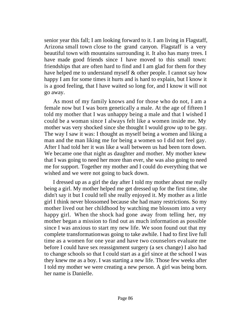senior year this fall; I am looking forward to it. I am living in Flagstaff, Arizona small town close to the grand canyon. Flagstaff is a very beautiful town with mountains surrounding it. It also has many trees. I have made good friends since I have moved to this small town: friendships that are often hard to find and I am glad for them for they have helped me to understand myself & other people. I cannot say how happy I am for some times it hurts and is hard to explain, but I know it is a good feeling, that I have waited so long for, and I know it will not go away.

 As most of my family knows and for those who do not, I am a female now but I was born genetically a male. At the age of fifteen I told my mother that I was unhappy being a male and that I wished I could be a woman since I always felt like a women inside me. My mother was very shocked since she thought I would grow up to be gay. The way I saw it was: I thought as myself being a women and liking a man and the man liking me for being a women so I did not feel gay. After I had told her it was like a wall between us had been torn down. We became one that night as daughter and mother. My mother knew that I was going to need her more than ever, she was also going to need me for support. Together my mother and I could do everything that we wished and we were not going to back down.

 I dressed up as a girl the day after I told my mother about me really being a girl. My mother helped me get dressed up for the first time, she didn't say it but I could tell she really enjoyed it. My mother as a little girl I think never blossomed because she had many restrictions. So my mother lived out her childhood by watching me blossom into a very happy girl. When the shock had gone away from telling her, my mother began a mission to find out as much information as possible since I was anxious to start my new life. We soon found out that my complete transformation was going to take awhile. I had to first live full time as a women for one year and have two counselors evaluate me before I could have sex reassignment surgery (a sex change) I also had to change schools so that I could start as a girl since at the school I was they knew me as a boy. I was starting a new life. Those few weeks after I told my mother we were creating a new person. A girl was being born. her name is Danielle.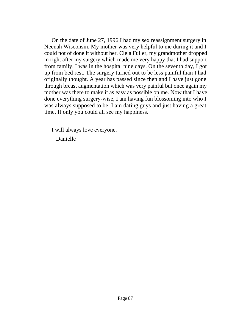On the date of June 27, 1996 I had my sex reassignment surgery in Neenah Wisconsin. My mother was very helpful to me during it and I could not of done it without her. Clela Fuller, my grandmother dropped in right after my surgery which made me very happy that I had support from family. I was in the hospital nine days. On the seventh day, I got up from bed rest. The surgery turned out to be less painful than I had originally thought. A year has passed since then and I have just gone through breast augmentation which was very painful but once again my mother was there to make it as easy as possible on me. Now that I have done everything surgery-wise, I am having fun blossoming into who I was always supposed to be. I am dating guys and just having a great time. If only you could all see my happiness.

I will always love everyone.

Danielle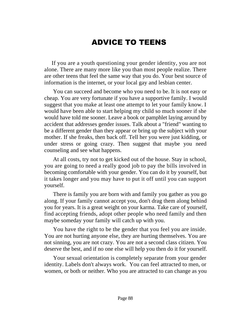### ADVICE TO TEENS

If you are a youth questioning your gender identity, you are not alone. There are many more like you than most people realize. There are other teens that feel the same way that you do. Your best source of information is the internet, or your local gay and lesbian center.

 You can succeed and become who you need to be. It is not easy or cheap. You are very fortunate if you have a supportive family. I would suggest that you make at least one attempt to let your family know. I would have been able to start helping my child so much sooner if she would have told me sooner. Leave a book or pamphlet laying around by accident that addresses gender issues. Talk about a "friend" wanting to be a different gender than they appear or bring up the subject with your mother. If she freaks, then back off. Tell her you were just kidding, or under stress or going crazy. Then suggest that maybe you need counseling and see what happens.

 At all costs, try not to get kicked out of the house. Stay in school, you are going to need a really good job to pay the bills involved in becoming comfortable with your gender. You can do it by yourself, but it takes longer and you may have to put it off until you can support yourself.

 There is family you are born with and family you gather as you go along. If your family cannot accept you, don't drag them along behind you for years. It is a great weight on your karma. Take care of yourself, find accepting friends, adopt other people who need family and then maybe someday your family will catch up with you.

 You have the right to be the gender that you feel you are inside. You are not hurting anyone else, they are hurting themselves. You are not sinning, you are not crazy. You are not a second class citizen. You deserve the best, and if no one else will help you then do it for yourself.

 Your sexual orientation is completely separate from your gender identity. Labels don't always work. You can feel attracted to men, or women, or both or neither. Who you are attracted to can change as you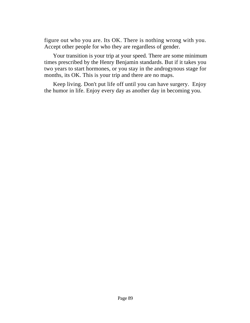figure out who you are. Its OK. There is nothing wrong with you. Accept other people for who they are regardless of gender.

 Your transition is your trip at your speed. There are some minimum times prescribed by the Henry Benjamin standards. But if it takes you two years to start hormones, or you stay in the androgynous stage for months, its OK. This is your trip and there are no maps.

 Keep living. Don't put life off until you can have surgery. Enjoy the humor in life. Enjoy every day as another day in becoming you.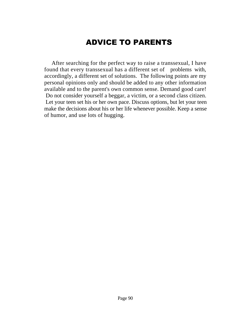### ADVICE TO PARENTS

After searching for the perfect way to raise a transsexual, I have found that every transsexual has a different set of problems with, accordingly, a different set of solutions. The following points are my personal opinions only and should be added to any other information available and to the parent's own common sense. Demand good care! Do not consider yourself a beggar, a victim, or a second class citizen. Let your teen set his or her own pace. Discuss options, but let your teen make the decisions about his or her life whenever possible. Keep a sense of humor, and use lots of hugging.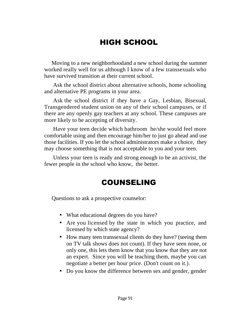### HIGH SCHOOL

Moving to a new neighborhood and a new school during the summer worked really well for us although I know of a few transsexuals who have survived transition at their current school.

 Ask the school district about alternative schools, home schooling and alternative PE programs in your area.

 Ask the school district if they have a Gay, Lesbian, Bisexual, Transgendered student union on any of their school campuses, or if there are any openly gay teachers at any school. These campuses are more likely to be accepting of diversity.

 Have your teen decide which bathroom he/she would feel more comfortable using and then encourage him/her to just go ahead and use those facilities. If you let the school administrators make a choice, they may choose something that is not acceptable to you and your teen.

 Unless your teen is ready and strong enough to be an activist, the fewer people in the school who know, the better.

### COUNSELING

Questions to ask a prospective counselor:

- What educational degrees do you have?
- Are you licensed by the state in which you practice, and licensed by which state agency?
- How many teen transsexual clients do they have? (seeing them on TV talk shows does not count). If they have seen none, or only one, this lets them know that you know that they are not an expert. Since you will be teaching them, maybe you can negotiate a better per hour price. (Don't count on it.).
- Do you know the difference between sex and gender, gender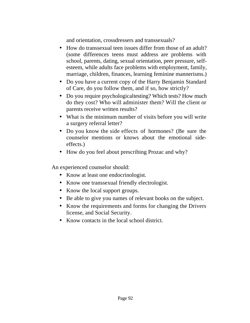and orientation, crossdressers and transsexuals?

- How do transsexual teen issues differ from those of an adult? (some differences teens must address are problems with school, parents, dating, sexual orientation, peer pressure, selfesteem, while adults face problems with employment, family, marriage, children, finances, learning feminine mannerisms.)
- Do you have a current copy of the Harry Benjamin Standard of Care, do you follow them, and if so, how strictly?
- Do you require psychological testing? Which tests? How much do they cost? Who will administer them? Will the client or parents receive written results?
- What is the minimum number of visits before you will write a surgery referral letter?
- Do you know the side effects of hormones? (Be sure the counselor mentions or knows about the emotional sideeffects.)
- How do you feel about prescribing Prozac and why?

An experienced counselor should:

- Know at least one endocrinologist.
- Know one transsexual friendly electrologist.
- Know the local support groups.
- Be able to give you names of relevant books on the subject.
- Know the requirements and forms for changing the Drivers license, and Social Security.
- Know contacts in the local school district.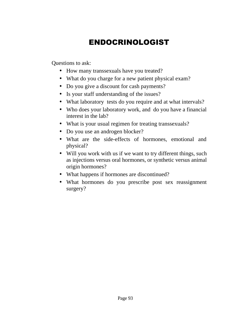# ENDOCRINOLOGIST

Questions to ask:

- How many transsexuals have you treated?
- What do you charge for a new patient physical exam?
- Do you give a discount for cash payments?
- Is your staff understanding of the issues?
- What laboratory tests do you require and at what intervals?
- Who does your laboratory work, and do you have a financial interest in the lab?
- What is your usual regimen for treating transsexuals?
- Do you use an androgen blocker?
- What are the side-effects of hormones, emotional and physical?
- Will you work with us if we want to try different things, such as injections versus oral hormones, or synthetic versus animal origin hormones?
- What happens if hormones are discontinued?
- What hormones do you prescribe post sex reassignment surgery?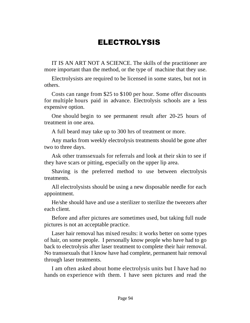### ELECTROLYSIS

IT IS AN ART NOT A SCIENCE. The skills of the practitioner are more important than the method, or the type of machine that they use.

Electrolysists are required to be licensed in some states, but not in others.

Costs can range from \$25 to \$100 per hour. Some offer discounts for multiple hours paid in advance. Electrolysis schools are a less expensive option.

One should begin to see permanent result after 20-25 hours of treatment in one area.

A full beard may take up to 300 hrs of treatment or more.

Any marks from weekly electrolysis treatments should be gone after two to three days.

Ask other transsexuals for referrals and look at their skin to see if they have scars or pitting, especially on the upper lip area.

Shaving is the preferred method to use between electrolysis treatments.

All electrolysists should be using a new disposable needle for each appointment.

He/she should have and use a sterilizer to sterilize the tweezers after each client.

Before and after pictures are sometimes used, but taking full nude pictures is not an acceptable practice.

Laser hair removal has mixed results: it works better on some types of hair, on some people. I personally know people who have had to go back to electrolysis after laser treatment to complete their hair removal. No transsexuals that I know have had complete, permanent hair removal through laser treatments.

I am often asked about home electrolysis units but I have had no hands on experience with them. I have seen pictures and read the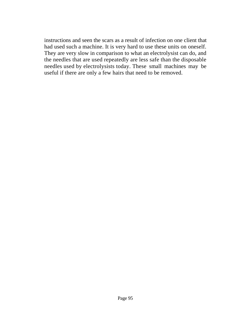instructions and seen the scars as a result of infection on one client that had used such a machine. It is very hard to use these units on oneself. They are very slow in comparison to what an electrolysist can do, and the needles that are used repeatedly are less safe than the disposable needles used by electrolysists today. These small machines may be useful if there are only a few hairs that need to be removed.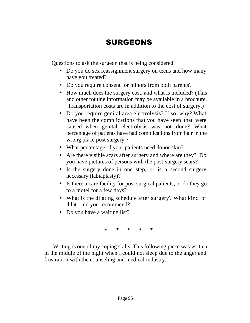### SURGEONS

Questions to ask the surgeon that is being considered:

- Do you do sex reassignment surgery on teens and how many have you treated?
- Do you require consent for minors from both parents?
- How much does the surgery cost, and what is included? (This and other routine information may be available in a brochure. Transportation costs are in addition to the cost of surgery.)
- Do you require genital area electrolysis? If so, why? What have been the complications that you have seen that were caused when genital electrolysis was not done? What percentage of patients have had complications from hair in the wrong place post surgery.?
- What percentage of your patients need donor skin?
- Are there visible scars after surgery and where are they? Do you have pictures of persons with the post-surgery scars?
- Is the surgery done in one step, or is a second surgery necessary (labiaplasty)?
- Is there a care facility for post surgical patients, or do they go to a motel for a few days?
- What is the dilating schedule after surgery? What kind of dilator do you recommend?
- Do you have a waiting list?



 Writing is one of my coping skills. This following piece was written in the middle of the night when I could not sleep due to the anger and frustration with the counseling and medical industry.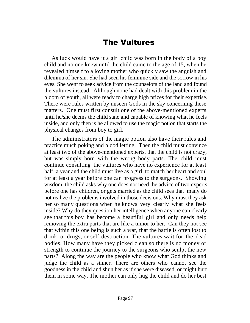#### The Vultures

As luck would have it a girl child was born in the body of a boy child and no one knew until the child came to the age of 15, when he revealed himself to a loving mother who quickly saw the anguish and dilemma of her sin. She had seen his feminine side and the sorrow in his eyes. She went to seek advice from the counselors of the land and found the vultures instead. Although none had dealt with this problem in the bloom of youth, all were ready to charge high prices for their expertise. There were rules written by unseen Gods in the sky concerning these matters. One must first consult one of the above-mentioned experts until he/she deems the child sane and capable of knowing what he feels inside, and only then is he allowed to use the magic potion that starts the physical changes from boy to girl.

The administrators of the magic potion also have their rules and practice much poking and blood letting. Then the child must convince at least two of the above-mentioned experts, that the child is not crazy, but was simply born with the wrong body parts. The child must continue consulting the vultures who have no experience for at least half a year and the child must live as a girl to match her heart and soul for at least a year before one can progress to the surgeons. Showing wisdom, the child asks why one does not need the advice of two experts before one has children, or gets married as the child sees that many do not realize the problems involved in those decisions. Why must they ask her so many questions when he knows very clearly what she feels inside? Why do they question her intelligence when anyone can clearly see that this boy has become a beautiful girl and only needs help removing the extra parts that are like a tumor to her. Can they not see that within this one being is such a war, that the battle is often lost to drink, or drugs, or self-destruction. The vultures wait for the dead bodies. How many have they picked clean so there is no money or strength to continue the journey to the surgeons who sculpt the new parts? Along the way are the people who know what God thinks and judge the child as a sinner. There are others who cannot see the goodness in the child and shun her as if she were diseased, or might hurt them in some way. The mother can only hug the child and do her best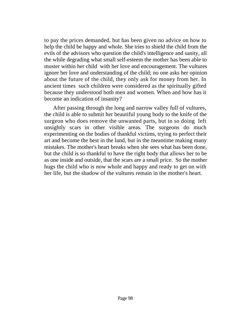to pay the prices demanded, but has been given no advice on how to help the child be happy and whole. She tries to shield the child from the evils of the advisors who question the child's intelligence and sanity, all the while degrading what small self-esteem the mother has been able to muster within her child with her love and encouragement. The vultures ignore her love and understanding of the child; no one asks her opinion about the future of the child, they only ask for money from her. In ancient times such children were considered as the spiritually gifted because they understood both men and women. When and how has it become an indication of insanity?

 After passing through the long and narrow valley full of vultures, the child is able to submit her beautiful young body to the knife of the surgeon who does remove the unwanted parts, but in so doing left unsightly scars in other visible areas. The surgeons do much experimenting on the bodies of thankful victims, trying to perfect their art and become the best in the land, but in the meantime making many mistakes. The mother's heart breaks when she sees what has been done, but the child is so thankful to have the right body that allows her to be as one inside and outside, that the scars are a small price. So the mother hugs the child who is now whole and happy and ready to get on with her life, but the shadow of the vultures remain in the mother's heart.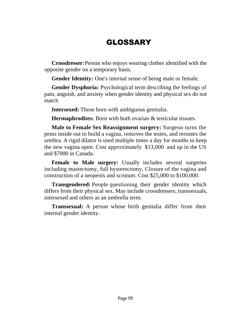# GLOSSARY

**Crossdresser:** Person who enjoys wearing clothes identified with the opposite gender on a temporary basis.

**Gender Identity:** One's internal sense of being male or female.

**Gender Dysphoria:** Psychological term describing the feelings of pain, anguish, and anxiety when gender identity and physical sex do not match

**Intersexed:** Those born with ambiguous genitalia.

**Hermaphrodites:** Born with both ovarian & testicular tissues.

**Male to Female Sex Reassignment surgery:** Surgeon turns the penis inside out to build a vagina, removes the testes, and reroutes the urethra. A rigid dilator is used multiple times a day for months to keep the new vagina open. Cost approximately \$13,000 and up in the US and \$7000 in Canada.

**Female to Male surgery:** Usually includes several surgeries including mastectomy, full hysterectomy, Closure of the vagina and construction of a neopenis and scrotum. Cost \$25,000 to \$100,000.

**Transgendered:** People questioning their gender identity which differs from their physical sex. May include crossdressers, transsexuals, intersexed and others as an umbrella term.

**Transsexual:** A person whose birth genitalia differ from their internal gender identity.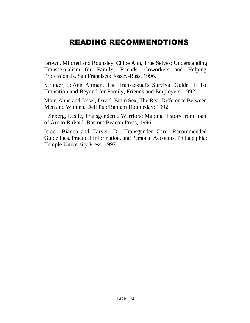### READING RECOMMENDTIONS

Brown, Mildred and Rounsley, Chloe Ann, True Selves: Understanding Transsexualism for Family, Friends, Coworkers and Helping Professionals. San Francisco: Jossey-Bass, 1996.

Stringer, JoAnn Altman. The Transsexual's Survival Guide II: To Transition and Beyond for Family, Friends and Employers, 1992.

Moir, Anne and Jessel, David. Brain Sex, The Real Difference Between Men and Women. Dell Pub/Bantam Doubleday; 1992.

Feinberg, Leslie, Transgendered Warriors: Making History from Joan of Arc to RuPaul. Boston: Beacon Press, 1996

Israel, Bianna and Tarver, D., Transgender Care: Recommended Guidelines, Practical Information, and Personal Accounts. Philadelphia: Temple University Press, 1997.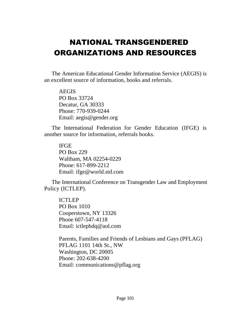# NATIONAL TRANSGENDERED ORGANIZATIONS AND RESOURCES

The American Educational Gender Information Service (AEGIS) is an excellent source of information, books and referrals.

AEGIS PO Box 33724 Decatur, GA 30333 Phone: 770-939-0244 Email: aegis@gender.org

The International Federation for Gender Education (IFGE) is another source for information, referrals books.

IFGE PO Box 229 Waltham, MA 02254-0229 Phone: 617-899-2212 Email: ifge@world.std.com

The International Conference on Transgender Law and Employment Policy (ICTLEP).

ICTLEP PO Box 1010 Cooperstown, NY 13326 Phone 607-547-4118 Email: ictlephdq@aol.com

Parents, Families and Friends of Lesbians and Gays (PFLAG) PFLAG 1101 14th St., NW Washington, DC 20005 Phone: 202-638-4200 Email: communications@pflag.org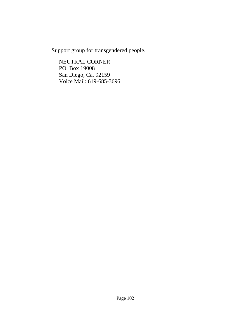Support group for transgendered people.

NEUTRAL CORNER PO Box 19008 San Diego, Ca. 92159 Voice Mail: 619-685-3696